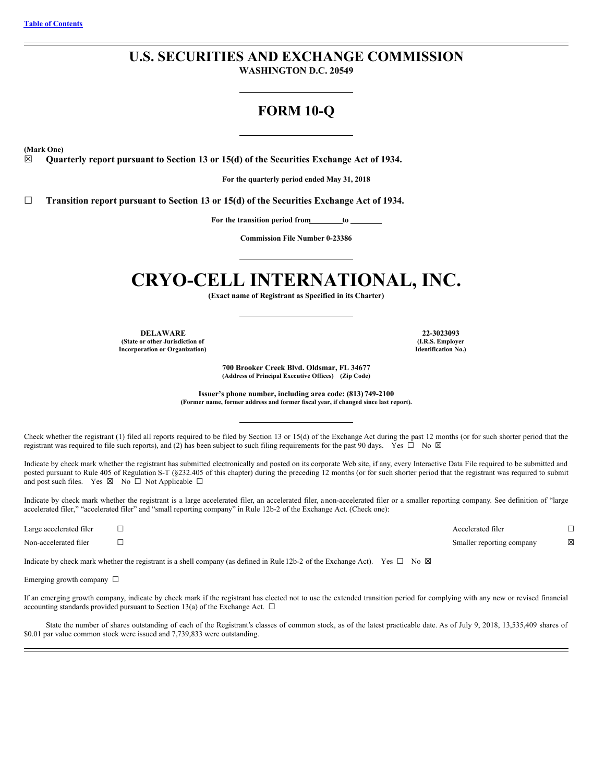# **U.S. SECURITIES AND EXCHANGE COMMISSION**

**WASHINGTON D.C. 20549**

# **FORM 10-Q**

**(Mark One)**

☒ **Quarterly report pursuant to Section 13 or 15(d) of the Securities Exchange Act of 1934.**

**For the quarterly period ended May 31, 2018**

☐ **Transition report pursuant to Section 13 or 15(d) of the Securities Exchange Act of 1934.**

**For the transition period from to**

**Commission File Number 0-23386**

# **CRYO-CELL INTERNATIONAL, INC.**

**(Exact name of Registrant as Specified in its Charter)**

**DELAWARE 22-3023093 (State or other Jurisdiction of Incorporation or Organization)**

**(I.R.S. Employer Identification No.)**

**700 Brooker Creek Blvd. Oldsmar, FL 34677 (Address of Principal Executive Offices) (Zip Code)**

**Issuer's phone number, including area code: (813) 749-2100 (Former name, former address and former fiscal year, if changed since last report).**

Check whether the registrant (1) filed all reports required to be filed by Section 13 or 15(d) of the Exchange Act during the past 12 months (or for such shorter period that the registrant was required to file such reports), and (2) has been subject to such filing requirements for the past 90 days. Yes  $\Box$  No  $\boxtimes$ 

Indicate by check mark whether the registrant has submitted electronically and posted on its corporate Web site, if any, every Interactive Data File required to be submitted and posted pursuant to Rule 405 of Regulation S-T (§232.405 of this chapter) during the preceding 12 months (or for such shorter period that the registrant was required to submit and post such files. Yes  $\boxtimes$  No  $\Box$  Not Applicable  $\Box$ 

Indicate by check mark whether the registrant is a large accelerated filer, an accelerated filer, a non-accelerated filer or a smaller reporting company. See definition of "large accelerated filer," "accelerated filer" and "small reporting company" in Rule 12b-2 of the Exchange Act. (Check one):

Large accelerated filer ☐ Accelerated filer ☐

Non-accelerated filer ☐ Smaller reporting company ☒

Indicate by check mark whether the registrant is a shell company (as defined in Rule 12b-2 of the Exchange Act). Yes  $\Box$  No  $\boxtimes$ 

Emerging growth company  $\Box$ 

If an emerging growth company, indicate by check mark if the registrant has elected not to use the extended transition period for complying with any new or revised financial accounting standards provided pursuant to Section 13(a) of the Exchange Act.  $\Box$ 

State the number of shares outstanding of each of the Registrant's classes of common stock, as of the latest practicable date. As of July 9, 2018, 13,535,409 shares of \$0.01 par value common stock were issued and 7,739,833 were outstanding.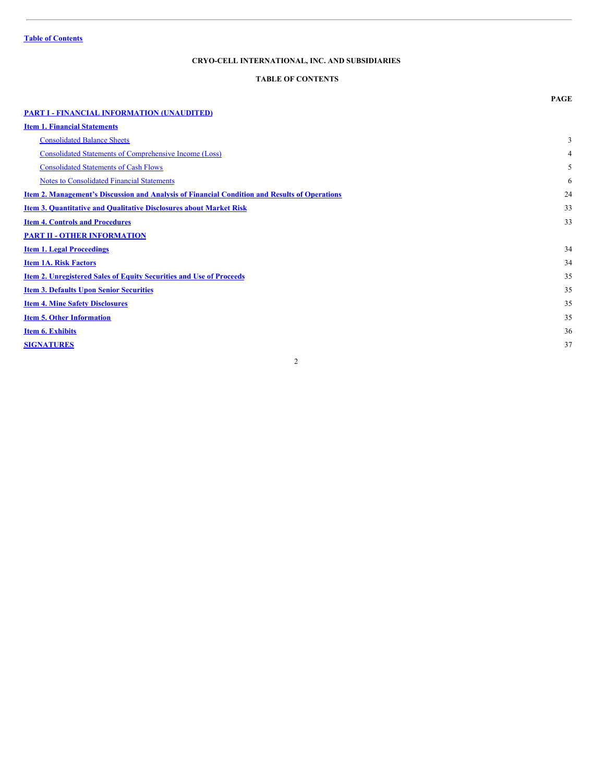# <span id="page-1-0"></span>**TABLE OF CONTENTS**

|                                                                                                      | <b>PAGE</b> |
|------------------------------------------------------------------------------------------------------|-------------|
| <b>PART I - FINANCIAL INFORMATION (UNAUDITED)</b>                                                    |             |
| <b>Item 1. Financial Statements</b>                                                                  |             |
| <b>Consolidated Balance Sheets</b>                                                                   | 3           |
| <b>Consolidated Statements of Comprehensive Income (Loss)</b>                                        | 4           |
| <b>Consolidated Statements of Cash Flows</b>                                                         | 5           |
| <b>Notes to Consolidated Financial Statements</b>                                                    | 6           |
| <b>Item 2. Management's Discussion and Analysis of Financial Condition and Results of Operations</b> | 24          |
| <b>Item 3. Quantitative and Qualitative Disclosures about Market Risk</b>                            | 33          |
| <b>Item 4. Controls and Procedures</b>                                                               | 33          |
| <b>PART II - OTHER INFORMATION</b>                                                                   |             |
| <b>Item 1. Legal Proceedings</b>                                                                     | 34          |
| <b>Item 1A. Risk Factors</b>                                                                         | 34          |
| <b>Item 2. Unregistered Sales of Equity Securities and Use of Proceeds</b>                           | 35          |
| <b>Item 3. Defaults Upon Senior Securities</b>                                                       | 35          |
| <b>Item 4. Mine Safety Disclosures</b>                                                               | 35          |
| <b>Item 5. Other Information</b>                                                                     | 35          |
| <b>Item 6. Exhibits</b>                                                                              | 36          |
| <b>SIGNATURES</b>                                                                                    | 37          |
|                                                                                                      |             |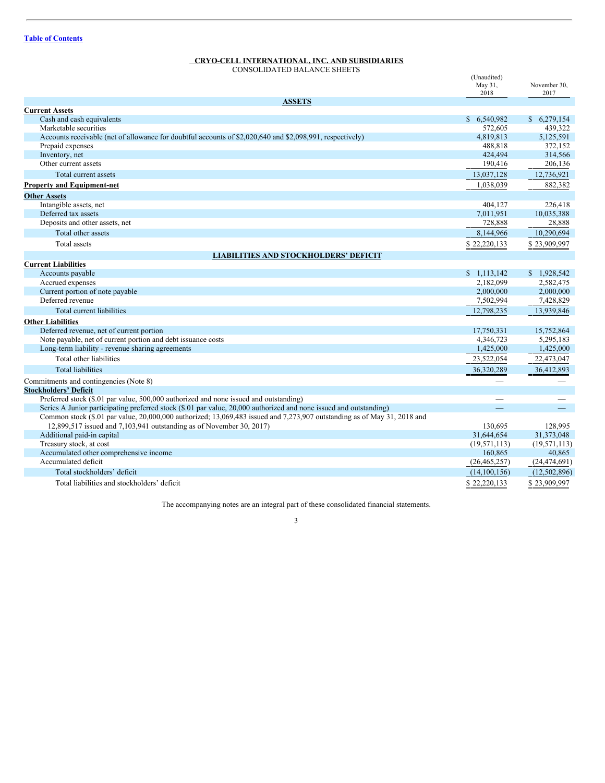<span id="page-2-2"></span><span id="page-2-1"></span><span id="page-2-0"></span>CONSOLIDATED BALANCE SHEETS

|                                                                                                                          | (Unaudited)<br>May 31,<br>2018 | November 30.<br>2017 |
|--------------------------------------------------------------------------------------------------------------------------|--------------------------------|----------------------|
| <b>ASSETS</b>                                                                                                            |                                |                      |
| <b>Current Assets</b>                                                                                                    |                                |                      |
| Cash and cash equivalents                                                                                                | \$6,540,982                    | \$6,279,154          |
| Marketable securities                                                                                                    | 572,605                        | 439.322              |
| Accounts receivable (net of allowance for doubtful accounts of \$2,020,640 and \$2,098,991, respectively)                | 4,819,813                      | 5,125,591            |
| Prepaid expenses                                                                                                         | 488,818                        | 372,152              |
| Inventory, net                                                                                                           | 424,494                        | 314,566              |
| Other current assets                                                                                                     | 190,416                        | 206,136              |
| Total current assets                                                                                                     | 13,037,128                     | 12,736,921           |
| <b>Property and Equipment-net</b>                                                                                        | 1,038,039                      | 882,382              |
| <b>Other Assets</b>                                                                                                      |                                |                      |
| Intangible assets, net                                                                                                   | 404,127                        | 226,418              |
| Deferred tax assets                                                                                                      | 7,011,951                      | 10,035,388           |
| Deposits and other assets, net                                                                                           | 728,888                        | 28,888               |
| Total other assets                                                                                                       | 8,144,966                      | 10,290,694           |
| Total assets                                                                                                             | \$22,220,133                   | \$23,909,997         |
| <b>LIABILITIES AND STOCKHOLDERS' DEFICIT</b>                                                                             |                                |                      |
| <b>Current Liabilities</b>                                                                                               |                                |                      |
| Accounts payable                                                                                                         | \$1,113,142                    | \$1,928,542          |
| Accrued expenses                                                                                                         | 2,182,099                      | 2,582,475            |
| Current portion of note payable                                                                                          | 2,000,000                      | 2,000,000            |
| Deferred revenue                                                                                                         | 7,502,994                      | 7,428,829            |
| Total current liabilities                                                                                                | 12,798,235                     | 13,939,846           |
| <b>Other Liabilities</b>                                                                                                 |                                |                      |
| Deferred revenue, net of current portion                                                                                 | 17,750,331                     | 15,752,864           |
| Note payable, net of current portion and debt issuance costs                                                             | 4,346,723                      | 5,295,183            |
| Long-term liability - revenue sharing agreements                                                                         | 1,425,000                      | 1,425,000            |
| Total other liabilities                                                                                                  | 23,522,054                     | 22,473,047           |
| <b>Total liabilities</b>                                                                                                 | 36,320,289                     | 36,412,893           |
| Commitments and contingencies (Note 8)                                                                                   |                                |                      |
| <b>Stockholders' Deficit</b>                                                                                             |                                |                      |
| Preferred stock (\$.01 par value, 500,000 authorized and none issued and outstanding)                                    |                                |                      |
| Series A Junior participating preferred stock (\$.01 par value, 20,000 authorized and none issued and outstanding)       |                                |                      |
| Common stock (\$.01 par value, 20,000,000 authorized; 13,069,483 issued and 7,273,907 outstanding as of May 31, 2018 and |                                |                      |
| 12,899,517 issued and 7,103,941 outstanding as of November 30, 2017)                                                     | 130,695                        | 128,995              |
| Additional paid-in capital                                                                                               | 31,644,654                     | 31,373,048           |
| Treasury stock, at cost                                                                                                  | (19, 571, 113)                 | (19, 571, 113)       |
| Accumulated other comprehensive income                                                                                   | 160,865                        | 40,865               |
| Accumulated deficit                                                                                                      | (26, 465, 257)                 | (24, 474, 691)       |
| Total stockholders' deficit                                                                                              | (14, 100, 156)                 | (12,502,896)         |
| Total liabilities and stockholders' deficit                                                                              | \$22,220,133                   | \$23,909,997         |

The accompanying notes are an integral part of these consolidated financial statements.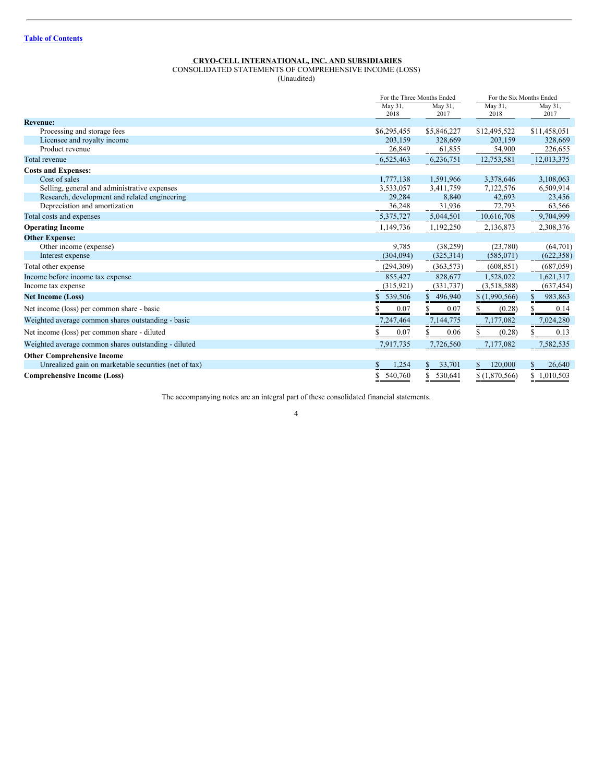<span id="page-3-0"></span>CONSOLIDATED STATEMENTS OF COMPREHENSIVE INCOME (LOSS)

(Unaudited)

|                                                       |             | For the Three Months Ended |               | For the Six Months Ended |  |
|-------------------------------------------------------|-------------|----------------------------|---------------|--------------------------|--|
|                                                       | May 31,     | May 31,                    | May 31,       | May 31,                  |  |
|                                                       | 2018        | 2017                       | 2018          | 2017                     |  |
| <b>Revenue:</b>                                       |             |                            |               |                          |  |
| Processing and storage fees                           | \$6,295,455 | \$5,846,227                | \$12,495,522  | \$11,458,051             |  |
| Licensee and royalty income                           | 203,159     | 328,669                    | 203,159       | 328,669                  |  |
| Product revenue                                       | 26,849      | 61,855                     | 54,900        | 226,655                  |  |
| Total revenue                                         | 6,525,463   | 6,236,751                  | 12,753,581    | 12,013,375               |  |
| <b>Costs and Expenses:</b>                            |             |                            |               |                          |  |
| Cost of sales                                         | 1,777,138   | 1,591,966                  | 3,378,646     | 3,108,063                |  |
| Selling, general and administrative expenses          | 3,533,057   | 3,411,759                  | 7,122,576     | 6,509,914                |  |
| Research, development and related engineering         | 29,284      | 8,840                      | 42,693        | 23,456                   |  |
| Depreciation and amortization                         | 36,248      | 31,936                     | 72,793        | 63,566                   |  |
| Total costs and expenses                              | 5,375,727   | 5,044,501                  | 10,616,708    | 9,704,999                |  |
| <b>Operating Income</b>                               | 1,149,736   | 1,192,250                  | 2,136,873     | 2,308,376                |  |
| <b>Other Expense:</b>                                 |             |                            |               |                          |  |
| Other income (expense)                                | 9,785       | (38, 259)                  | (23,780)      | (64,701)                 |  |
| Interest expense                                      | (304, 094)  | (325, 314)                 | (585,071)     | (622, 358)               |  |
| Total other expense                                   | (294, 309)  | (363, 573)                 | (608, 851)    | (687,059)                |  |
| Income before income tax expense                      | 855,427     | 828,677                    | 1,528,022     | 1,621,317                |  |
| Income tax expense                                    | (315, 921)  | (331, 737)                 | (3,518,588)   | (637, 454)               |  |
| <b>Net Income (Loss)</b>                              | 539,506     | \$<br>496,940              | \$(1,990,566) | 983,863<br>\$            |  |
| Net income (loss) per common share - basic            | 0.07        | 0.07                       | (0.28)        | S.<br>0.14               |  |
| Weighted average common shares outstanding - basic    | 7,247,464   | 7,144,775                  | 7,177,082     | 7,024,280                |  |
| Net income (loss) per common share - diluted          | 0.07        | 0.06                       | (0.28)        | 0.13                     |  |
| Weighted average common shares outstanding - diluted  | 7,917,735   | 7,726,560                  | 7,177,082     | 7,582,535                |  |
| <b>Other Comprehensive Income</b>                     |             |                            |               |                          |  |
| Unrealized gain on marketable securities (net of tax) | 1,254       | 33,701<br>\$.              | 120,000       | 26,640                   |  |
| <b>Comprehensive Income (Loss)</b>                    | 540,760     | 530,641                    | \$(1,870,566) | 1,010,503<br>\$          |  |

The accompanying notes are an integral part of these consolidated financial statements.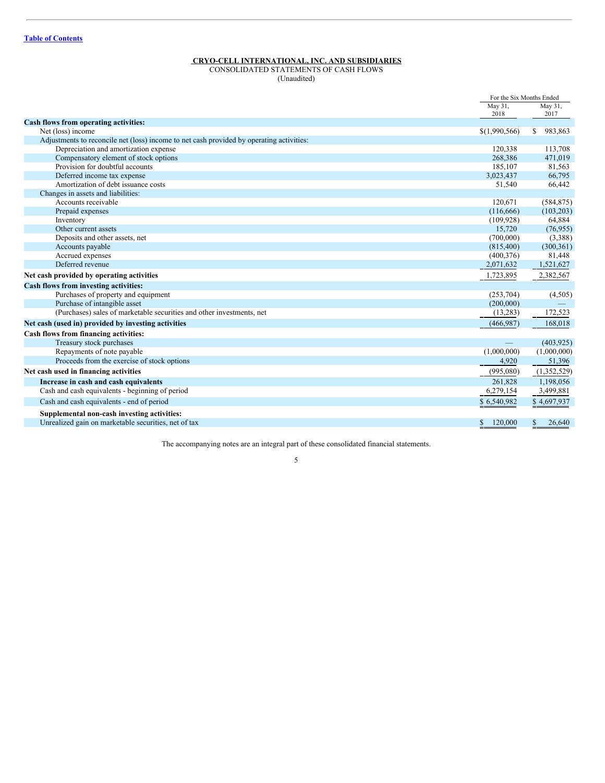# <span id="page-4-0"></span>CONSOLIDATED STATEMENTS OF CASH FLOWS

(Unaudited)

|                                                                                          | For the Six Months Ended |               |
|------------------------------------------------------------------------------------------|--------------------------|---------------|
|                                                                                          | May 31,                  | May 31,       |
|                                                                                          | 2018                     | 2017          |
| Cash flows from operating activities:                                                    |                          |               |
| Net (loss) income                                                                        | \$(1,990,566)            | 983,863<br>\$ |
| Adjustments to reconcile net (loss) income to net cash provided by operating activities: |                          |               |
| Depreciation and amortization expense                                                    | 120,338                  | 113,708       |
| Compensatory element of stock options                                                    | 268,386                  | 471,019       |
| Provision for doubtful accounts                                                          | 185,107                  | 81,563        |
| Deferred income tax expense                                                              | 3,023,437                | 66,795        |
| Amortization of debt issuance costs                                                      | 51,540                   | 66,442        |
| Changes in assets and liabilities:                                                       |                          |               |
| Accounts receivable                                                                      | 120,671                  | (584, 875)    |
| Prepaid expenses                                                                         | (116, 666)               | (103, 203)    |
| Inventory                                                                                | (109, 928)               | 64,884        |
| Other current assets                                                                     | 15,720                   | (76, 955)     |
| Deposits and other assets, net                                                           | (700,000)                | (3,388)       |
| Accounts payable                                                                         | (815,400)                | (300, 361)    |
| Accrued expenses                                                                         | (400, 376)               | 81,448        |
| Deferred revenue                                                                         | 2,071,632                | 1,521,627     |
| Net cash provided by operating activities                                                | 1,723,895                | 2,382,567     |
| <b>Cash flows from investing activities:</b>                                             |                          |               |
| Purchases of property and equipment                                                      | (253,704)                | (4,505)       |
| Purchase of intangible asset                                                             | (200,000)                |               |
| (Purchases) sales of marketable securities and other investments, net                    | (13,283)                 | 172,523       |
| Net cash (used in) provided by investing activities                                      | (466, 987)               | 168,018       |
| Cash flows from financing activities:                                                    |                          |               |
| Treasury stock purchases                                                                 |                          | (403, 925)    |
| Repayments of note payable                                                               | (1,000,000)              | (1,000,000)   |
| Proceeds from the exercise of stock options                                              | 4,920                    | 51,396        |
| Net cash used in financing activities                                                    | (995,080)                | (1,352,529)   |
| Increase in cash and cash equivalents                                                    | 261,828                  | 1,198,056     |
| Cash and cash equivalents - beginning of period                                          | 6,279,154                | 3,499,881     |
| Cash and cash equivalents - end of period                                                | \$6,540,982              | \$4,697,937   |
|                                                                                          |                          |               |
| Supplemental non-cash investing activities:                                              |                          |               |
| Unrealized gain on marketable securities, net of tax                                     | \$<br>120,000            | \$<br>26,640  |

The accompanying notes are an integral part of these consolidated financial statements.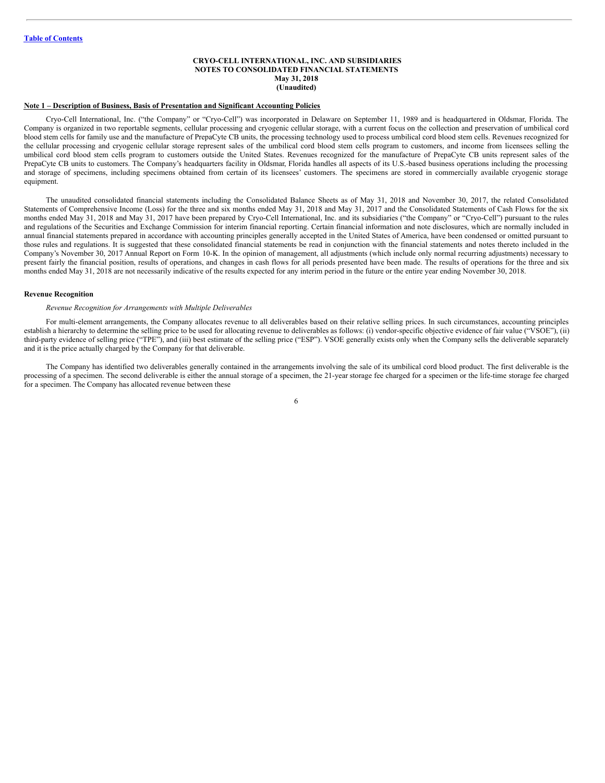#### <span id="page-5-0"></span>**CRYO-CELL INTERNATIONAL, INC. AND SUBSIDIARIES NOTES TO CONSOLIDATED FINANCIAL STATEMENTS May 31, 2018 (Unaudited)**

#### **Note 1 – Description of Business, Basis of Presentation and Significant Accounting Policies**

Cryo-Cell International, Inc. ("the Company" or "Cryo-Cell") was incorporated in Delaware on September 11, 1989 and is headquartered in Oldsmar, Florida. The Company is organized in two reportable segments, cellular processing and cryogenic cellular storage, with a current focus on the collection and preservation of umbilical cord blood stem cells for family use and the manufacture of PrepaCyte CB units, the processing technology used to process umbilical cord blood stem cells. Revenues recognized for the cellular processing and cryogenic cellular storage represent sales of the umbilical cord blood stem cells program to customers, and income from licensees selling the umbilical cord blood stem cells program to customers outside the United States. Revenues recognized for the manufacture of PrepaCyte CB units represent sales of the PrepaCyte CB units to customers. The Company's headquarters facility in Oldsmar, Florida handles all aspects of its U.S.-based business operations including the processing and storage of specimens, including specimens obtained from certain of its licensees' customers. The specimens are stored in commercially available cryogenic storage equipment.

The unaudited consolidated financial statements including the Consolidated Balance Sheets as of May 31, 2018 and November 30, 2017, the related Consolidated Statements of Comprehensive Income (Loss) for the three and six months ended May 31, 2018 and May 31, 2017 and the Consolidated Statements of Cash Flows for the six months ended May 31, 2018 and May 31, 2017 have been prepared by Cryo-Cell International, Inc. and its subsidiaries ("the Company" or "Cryo-Cell") pursuant to the rules and regulations of the Securities and Exchange Commission for interim financial reporting. Certain financial information and note disclosures, which are normally included in annual financial statements prepared in accordance with accounting principles generally accepted in the United States of America, have been condensed or omitted pursuant to those rules and regulations. It is suggested that these consolidated financial statements be read in conjunction with the financial statements and notes thereto included in the Company's November 30, 2017 Annual Report on Form 10-K. In the opinion of management, all adjustments (which include only normal recurring adjustments) necessary to present fairly the financial position, results of operations, and changes in cash flows for all periods presented have been made. The results of operations for the three and six months ended May 31, 2018 are not necessarily indicative of the results expected for any interim period in the future or the entire year ending November 30, 2018.

#### **Revenue Recognition**

#### *Revenue Recognition for Arrangements with Multiple Deliverables*

For multi-element arrangements, the Company allocates revenue to all deliverables based on their relative selling prices. In such circumstances, accounting principles establish a hierarchy to determine the selling price to be used for allocating revenue to deliverables as follows: (i) vendor-specific objective evidence of fair value ("VSOE"), (ii) third-party evidence of selling price ("TPE"), and (iii) best estimate of the selling price ("ESP"). VSOE generally exists only when the Company sells the deliverable separately and it is the price actually charged by the Company for that deliverable.

The Company has identified two deliverables generally contained in the arrangements involving the sale of its umbilical cord blood product. The first deliverable is the processing of a specimen. The second deliverable is either the annual storage of a specimen, the 21-year storage fee charged for a specimen or the life-time storage fee charged for a specimen. The Company has allocated revenue between these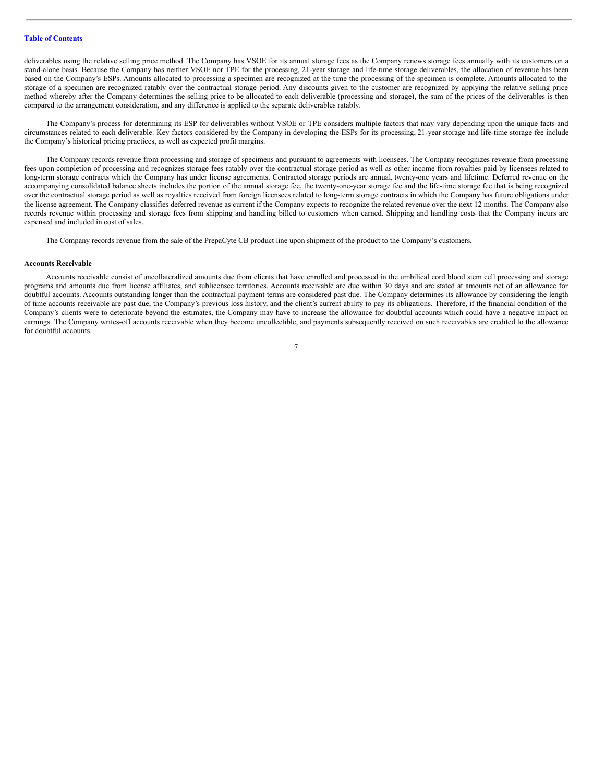deliverables using the relative selling price method. The Company has VSOE for its annual storage fees as the Company renews storage fees annually with its customers on a stand-alone basis. Because the Company has neither VSOE nor TPE for the processing, 21-year storage and life-time storage deliverables, the allocation of revenue has been based on the Company's ESPs. Amounts allocated to processing a specimen are recognized at the time the processing of the specimen is complete. Amounts allocated to the storage of a specimen are recognized ratably over the contractual storage period. Any discounts given to the customer are recognized by applying the relative selling price method whereby after the Company determines the selling price to be allocated to each deliverable (processing and storage), the sum of the prices of the deliverables is then compared to the arrangement consideration, and any difference is applied to the separate deliverables ratably.

The Company's process for determining its ESP for deliverables without VSOE or TPE considers multiple factors that may vary depending upon the unique facts and circumstances related to each deliverable. Key factors considered by the Company in developing the ESPs for its processing, 21-year storage and life-time storage fee include the Company's historical pricing practices, as well as expected profit margins.

The Company records revenue from processing and storage of specimens and pursuant to agreements with licensees. The Company recognizes revenue from processing fees upon completion of processing and recognizes storage fees ratably over the contractual storage period as well as other income from royalties paid by licensees related to long-term storage contracts which the Company has under license agreements. Contracted storage periods are annual, twenty-one years and lifetime. Deferred revenue on the accompanying consolidated balance sheets includes the portion of the annual storage fee, the twenty-one-year storage fee and the life-time storage fee that is being recognized over the contractual storage period as well as royalties received from foreign licensees related to long-term storage contracts in which the Company has future obligations under the license agreement. The Company classifies deferred revenue as current if the Company expects to recognize the related revenue over the next 12 months. The Company also records revenue within processing and storage fees from shipping and handling billed to customers when earned. Shipping and handling costs that the Company incurs are expensed and included in cost of sales.

The Company records revenue from the sale of the PrepaCyte CB product line upon shipment of the product to the Company's customers.

#### **Accounts Receivable**

Accounts receivable consist of uncollateralized amounts due from clients that have enrolled and processed in the umbilical cord blood stem cell processing and storage programs and amounts due from license affiliates, and sublicensee territories. Accounts receivable are due within 30 days and are stated at amounts net of an allowance for doubtful accounts. Accounts outstanding longer than the contractual payment terms are considered past due. The Company determines its allowance by considering the length of time accounts receivable are past due, the Company's previous loss history, and the client's current ability to pay its obligations. Therefore, if the financial condition of the Company's clients were to deteriorate beyond the estimates, the Company may have to increase the allowance for doubtful accounts which could have a negative impact on earnings. The Company writes-off accounts receivable when they become uncollectible, and payments subsequently received on such receivables are credited to the allowance for doubtful accounts.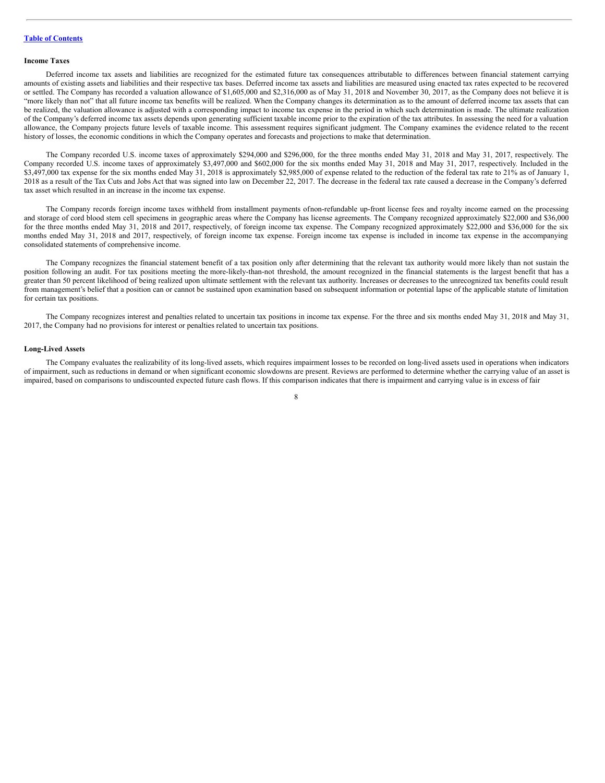#### **Income Taxes**

Deferred income tax assets and liabilities are recognized for the estimated future tax consequences attributable to differences between financial statement carrying amounts of existing assets and liabilities and their respective tax bases. Deferred income tax assets and liabilities are measured using enacted tax rates expected to be recovered or settled. The Company has recorded a valuation allowance of \$1,605,000 and \$2,316,000 as of May 31, 2018 and November 30, 2017, as the Company does not believe it is "more likely than not" that all future income tax benefits will be realized. When the Company changes its determination as to the amount of deferred income tax assets that can be realized, the valuation allowance is adjusted with a corresponding impact to income tax expense in the period in which such determination is made. The ultimate realization of the Company's deferred income tax assets depends upon generating sufficient taxable income prior to the expiration of the tax attributes. In assessing the need for a valuation allowance, the Company projects future levels of taxable income. This assessment requires significant judgment. The Company examines the evidence related to the recent history of losses, the economic conditions in which the Company operates and forecasts and projections to make that determination.

The Company recorded U.S. income taxes of approximately \$294,000 and \$296,000, for the three months ended May 31, 2018 and May 31, 2017, respectively. The Company recorded U.S. income taxes of approximately \$3,497,000 and \$602,000 for the six months ended May 31, 2018 and May 31, 2017, respectively. Included in the \$3,497,000 tax expense for the six months ended May 31, 2018 is approximately \$2,985,000 of expense related to the reduction of the federal tax rate to 21% as of January 1, 2018 as a result of the Tax Cuts and Jobs Act that was signed into law on December 22, 2017. The decrease in the federal tax rate caused a decrease in the Company's deferred tax asset which resulted in an increase in the income tax expense.

The Company records foreign income taxes withheld from installment payments ofnon-refundable up-front license fees and royalty income earned on the processing and storage of cord blood stem cell specimens in geographic areas where the Company has license agreements. The Company recognized approximately \$22,000 and \$36,000 for the three months ended May 31, 2018 and 2017, respectively, of foreign income tax expense. The Company recognized approximately \$22,000 and \$36,000 for the six months ended May 31, 2018 and 2017, respectively, of foreign income tax expense. Foreign income tax expense is included in income tax expense in the accompanying consolidated statements of comprehensive income.

The Company recognizes the financial statement benefit of a tax position only after determining that the relevant tax authority would more likely than not sustain the position following an audit. For tax positions meeting the more-likely-than-not threshold, the amount recognized in the financial statements is the largest benefit that has a greater than 50 percent likelihood of being realized upon ultimate settlement with the relevant tax authority. Increases or decreases to the unrecognized tax benefits could result from management's belief that a position can or cannot be sustained upon examination based on subsequent information or potential lapse of the applicable statute of limitation for certain tax positions.

The Company recognizes interest and penalties related to uncertain tax positions in income tax expense. For the three and six months ended May 31, 2018 and May 31, 2017, the Company had no provisions for interest or penalties related to uncertain tax positions.

#### **Long-Lived Assets**

The Company evaluates the realizability of its long-lived assets, which requires impairment losses to be recorded on long-lived assets used in operations when indicators of impairment, such as reductions in demand or when significant economic slowdowns are present. Reviews are performed to determine whether the carrying value of an asset is impaired, based on comparisons to undiscounted expected future cash flows. If this comparison indicates that there is impairment and carrying value is in excess of fair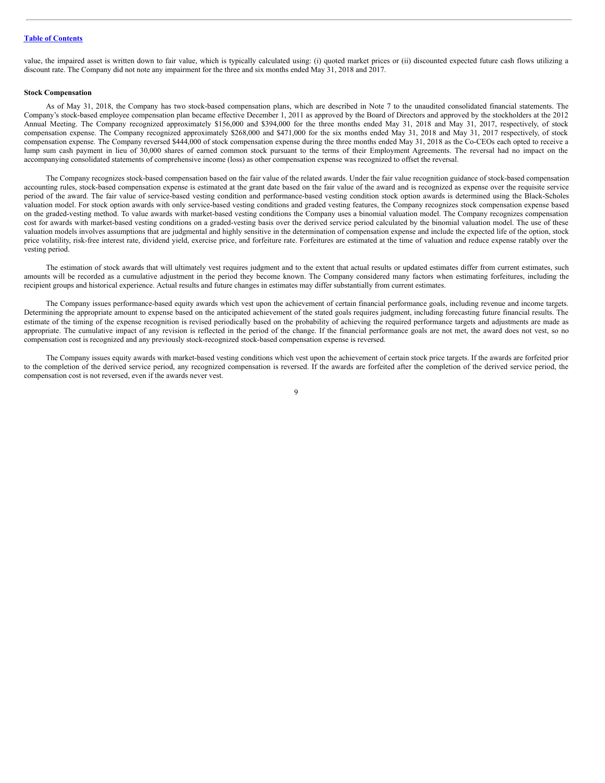value, the impaired asset is written down to fair value, which is typically calculated using: (i) quoted market prices or (ii) discounted expected future cash flows utilizing a discount rate. The Company did not note any impairment for the three and six months ended May 31, 2018 and 2017.

## **Stock Compensation**

As of May 31, 2018, the Company has two stock-based compensation plans, which are described in Note 7 to the unaudited consolidated financial statements. The Company's stock-based employee compensation plan became effective December 1, 2011 as approved by the Board of Directors and approved by the stockholders at the 2012 Annual Meeting. The Company recognized approximately \$156,000 and \$394,000 for the three months ended May 31, 2018 and May 31, 2017, respectively, of stock compensation expense. The Company recognized approximately \$268,000 and \$471,000 for the six months ended May 31, 2018 and May 31, 2017 respectively, of stock compensation expense. The Company reversed \$444,000 of stock compensation expense during the three months ended May 31, 2018 as the Co-CEOs each opted to receive a lump sum cash payment in lieu of 30,000 shares of earned common stock pursuant to the terms of their Employment Agreements. The reversal had no impact on the accompanying consolidated statements of comprehensive income (loss) as other compensation expense was recognized to offset the reversal.

The Company recognizes stock-based compensation based on the fair value of the related awards. Under the fair value recognition guidance of stock-based compensation accounting rules, stock-based compensation expense is estimated at the grant date based on the fair value of the award and is recognized as expense over the requisite service period of the award. The fair value of service-based vesting condition and performance-based vesting condition stock option awards is determined using the Black-Scholes valuation model. For stock option awards with only service-based vesting conditions and graded vesting features, the Company recognizes stock compensation expense based on the graded-vesting method. To value awards with market-based vesting conditions the Company uses a binomial valuation model. The Company recognizes compensation cost for awards with market-based vesting conditions on a graded-vesting basis over the derived service period calculated by the binomial valuation model. The use of these valuation models involves assumptions that are judgmental and highly sensitive in the determination of compensation expense and include the expected life of the option, stock price volatility, risk-free interest rate, dividend yield, exercise price, and forfeiture rate. Forfeitures are estimated at the time of valuation and reduce expense ratably over the vesting period.

The estimation of stock awards that will ultimately vest requires judgment and to the extent that actual results or updated estimates differ from current estimates, such amounts will be recorded as a cumulative adjustment in the period they become known. The Company considered many factors when estimating forfeitures, including the recipient groups and historical experience. Actual results and future changes in estimates may differ substantially from current estimates.

The Company issues performance-based equity awards which vest upon the achievement of certain financial performance goals, including revenue and income targets. Determining the appropriate amount to expense based on the anticipated achievement of the stated goals requires judgment, including forecasting future financial results. The estimate of the timing of the expense recognition is revised periodically based on the probability of achieving the required performance targets and adjustments are made as appropriate. The cumulative impact of any revision is reflected in the period of the change. If the financial performance goals are not met, the award does not vest, so no compensation cost is recognized and any previously stock-recognized stock-based compensation expense is reversed.

The Company issues equity awards with market-based vesting conditions which vest upon the achievement of certain stock price targets. If the awards are forfeited prior to the completion of the derived service period, any recognized compensation is reversed. If the awards are forfeited after the completion of the derived service period, the compensation cost is not reversed, even if the awards never vest.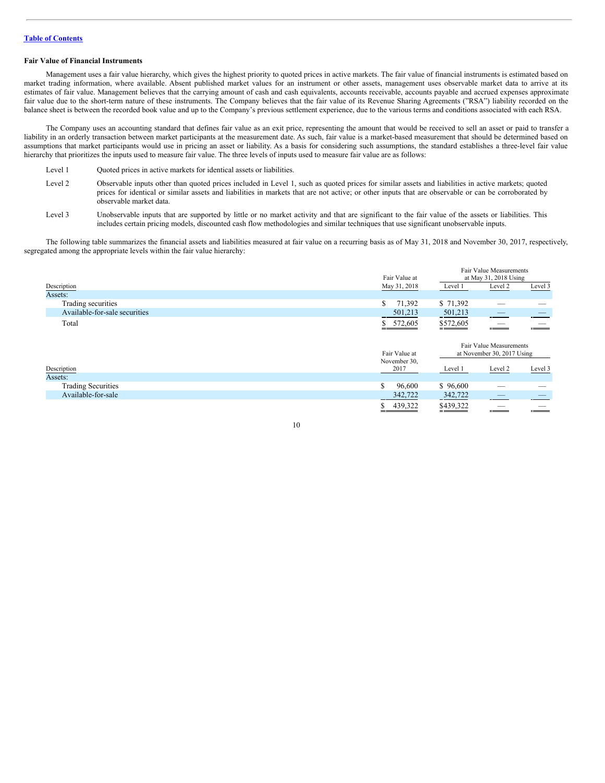# **Fair Value of Financial Instruments**

Management uses a fair value hierarchy, which gives the highest priority to quoted prices in active markets. The fair value of financial instruments is estimated based on market trading information, where available. Absent published market values for an instrument or other assets, management uses observable market data to arrive at its estimates of fair value. Management believes that the carrying amount of cash and cash equivalents, accounts receivable, accounts payable and accrued expenses approximate fair value due to the short-term nature of these instruments. The Company believes that the fair value of its Revenue Sharing Agreements ("RSA") liability recorded on the balance sheet is between the recorded book value and up to the Company's previous settlement experience, due to the various terms and conditions associated with each RSA.

The Company uses an accounting standard that defines fair value as an exit price, representing the amount that would be received to sell an asset or paid to transfer a liability in an orderly transaction between market participants at the measurement date. As such, fair value is a market-based measurement that should be determined based on assumptions that market participants would use in pricing an asset or liability. As a basis for considering such assumptions, the standard establishes a three-level fair value hierarchy that prioritizes the inputs used to measure fair value. The three levels of inputs used to measure fair value are as follows:

- Level 1 Quoted prices in active markets for identical assets or liabilities.
- Level 2 Observable inputs other than quoted prices included in Level 1, such as quoted prices for similar assets and liabilities in active markets; quoted prices for identical or similar assets and liabilities in markets that are not active; or other inputs that are observable or can be corroborated by observable market data.
- Level 3 Unobservable inputs that are supported by little or no market activity and that are significant to the fair value of the assets or liabilities. This includes certain pricing models, discounted cash flow methodologies and similar techniques that use significant unobservable inputs.

The following table summarizes the financial assets and liabilities measured at fair value on a recurring basis as of May 31, 2018 and November 30, 2017, respectively, segregated among the appropriate levels within the fair value hierarchy:

|                               |               |           | Fair Value Measurements                               |         |
|-------------------------------|---------------|-----------|-------------------------------------------------------|---------|
|                               | Fair Value at |           | at May 31, 2018 Using                                 |         |
| Description                   | May 31, 2018  | Level 1   | Level 2                                               | Level 3 |
| Assets:                       |               |           |                                                       |         |
| Trading securities            | S<br>71,392   | \$71,392  |                                                       |         |
| Available-for-sale securities | 501,213       | 501,213   |                                                       |         |
| Total                         | 572,605       | \$572,605 |                                                       |         |
|                               | Fair Value at |           | Fair Value Measurements<br>at November 30, 2017 Using |         |
|                               | November 30,  |           |                                                       |         |
| Description                   | 2017          | Level 1   | Level 2                                               | Level 3 |
| Assets:                       |               |           |                                                       |         |
| <b>Trading Securities</b>     | S.<br>96,600  | \$96,600  |                                                       |         |
| Available-for-sale            | 342,722       | 342,722   |                                                       |         |
|                               |               |           |                                                       |         |

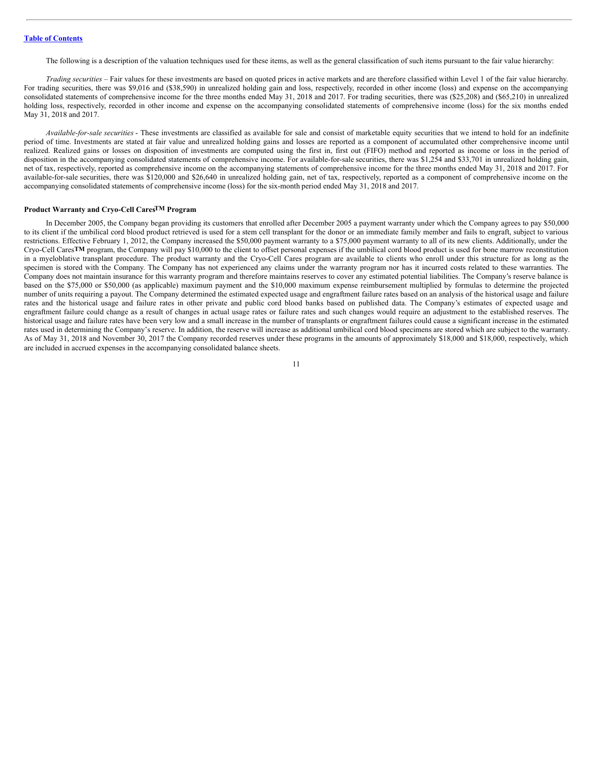The following is a description of the valuation techniques used for these items, as well as the general classification of such items pursuant to the fair value hierarchy:

*Trading securities –* Fair values for these investments are based on quoted prices in active markets and are therefore classified within Level 1 of the fair value hierarchy. For trading securities, there was \$9,016 and (\$38,590) in unrealized holding gain and loss, respectively, recorded in other income (loss) and expense on the accompanying consolidated statements of comprehensive income for the three months ended May 31, 2018 and 2017. For trading securities, there was (\$25,208) and (\$65,210) in unrealized holding loss, respectively, recorded in other income and expense on the accompanying consolidated statements of comprehensive income (loss) for the six months ended May 31, 2018 and 2017.

*Available-for-sale securities* - These investments are classified as available for sale and consist of marketable equity securities that we intend to hold for an indefinite period of time. Investments are stated at fair value and unrealized holding gains and losses are reported as a component of accumulated other comprehensive income until realized. Realized gains or losses on disposition of investments are computed using the first in, first out (FIFO) method and reported as income or loss in the period of disposition in the accompanying consolidated statements of comprehensive income. For available-for-sale securities, there was \$1,254 and \$33,701 in unrealized holding gain, net of tax, respectively, reported as comprehensive income on the accompanying statements of comprehensive income for the three months ended May 31, 2018 and 2017. For available-for-sale securities, there was \$120,000 and \$26,640 in unrealized holding gain, net of tax, respectively, reported as a component of comprehensive income on the accompanying consolidated statements of comprehensive income (loss) for the six-month period ended May 31, 2018 and 2017.

#### **Product Warranty and Cryo-Cell CaresTM Program**

In December 2005, the Company began providing its customers that enrolled after December 2005 a payment warranty under which the Company agrees to pay \$50,000 to its client if the umbilical cord blood product retrieved is used for a stem cell transplant for the donor or an immediate family member and fails to engraft, subject to various restrictions. Effective February 1, 2012, the Company increased the \$50,000 payment warranty to a \$75,000 payment warranty to all of its new clients. Additionally, under the Cryo-Cell Cares**TM** program, the Company will pay \$10,000 to the client to offset personal expenses if the umbilical cord blood product is used for bone marrow reconstitution in a myeloblative transplant procedure. The product warranty and the Cryo-Cell Cares program are available to clients who enroll under this structure for as long as the specimen is stored with the Company. The Company has not experienced any claims under the warranty program nor has it incurred costs related to these warranties. The Company does not maintain insurance for this warranty program and therefore maintains reserves to cover any estimated potential liabilities. The Company's reserve balance is based on the \$75,000 or \$50,000 (as applicable) maximum payment and the \$10,000 maximum expense reimbursement multiplied by formulas to determine the projected number of units requiring a payout. The Company determined the estimated expected usage and engraftment failure rates based on an analysis of the historical usage and failure rates and the historical usage and failure rates in other private and public cord blood banks based on published data. The Company's estimates of expected usage and engraftment failure could change as a result of changes in actual usage rates or failure rates and such changes would require an adjustment to the established reserves. The historical usage and failure rates have been very low and a small increase in the number of transplants or engraftment failures could cause a significant increase in the estimated rates used in determining the Company's reserve. In addition, the reserve will increase as additional umbilical cord blood specimens are stored which are subject to the warranty. As of May 31, 2018 and November 30, 2017 the Company recorded reserves under these programs in the amounts of approximately \$18,000 and \$18,000, respectively, which are included in accrued expenses in the accompanying consolidated balance sheets.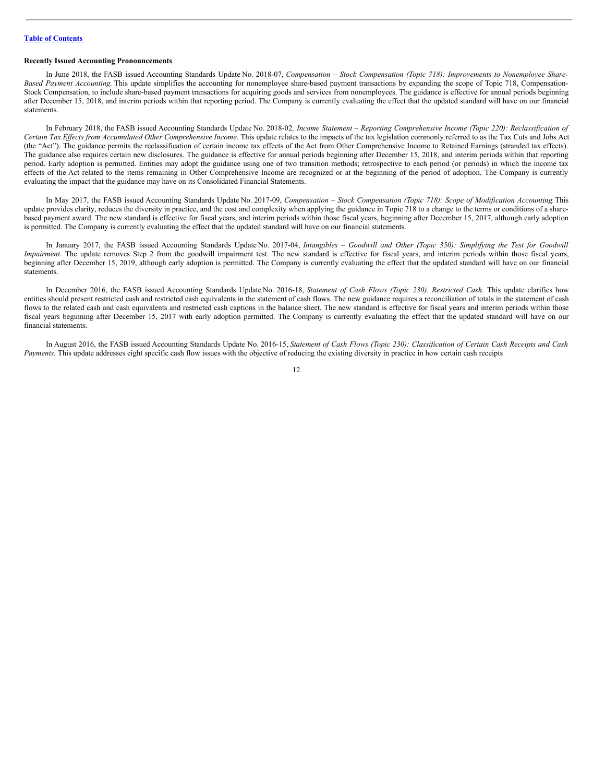# **Recently Issued Accounting Pronouncements**

In June 2018, the FASB issued Accounting Standards Update No. 2018-07, *Compensation – Stock Compensation (Topic 718): Improvements to Nonemployee Share-Based Payment Accounting.* This update simplifies the accounting for nonemployee share-based payment transactions by expanding the scope of Topic 718, Compensation-Stock Compensation, to include share-based payment transactions for acquiring goods and services from nonemployees. The guidance is effective for annual periods beginning after December 15, 2018, and interim periods within that reporting period. The Company is currently evaluating the effect that the updated standard will have on our financial statements.

In February 2018, the FASB issued Accounting Standards Update No. 2018-02, Income Statement - Reporting Comprehensive Income (Topic 220): Reclassification of Certain Tax Effects from Accumulated Other Comprehensive Income. This update relates to the impacts of the tax legislation commonly referred to as the Tax Cuts and Jobs Act (the "Act"). The guidance permits the reclassification of certain income tax effects of the Act from Other Comprehensive Income to Retained Earnings (stranded tax effects). The guidance also requires certain new disclosures. The guidance is effective for annual periods beginning after December 15, 2018, and interim periods within that reporting period. Early adoption is permitted. Entities may adopt the guidance using one of two transition methods; retrospective to each period (or periods) in which the income tax effects of the Act related to the items remaining in Other Comprehensive Income are recognized or at the beginning of the period of adoption. The Company is currently evaluating the impact that the guidance may have on its Consolidated Financial Statements.

In May 2017, the FASB issued Accounting Standards Update No. 2017-09, *Compensation – Stock Compensation (Topic 718): Scope of Modification Accounting.*This update provides clarity, reduces the diversity in practice, and the cost and complexity when applying the guidance in Topic 718 to a change to the terms or conditions of a sharebased payment award. The new standard is effective for fiscal years, and interim periods within those fiscal years, beginning after December 15, 2017, although early adoption is permitted. The Company is currently evaluating the effect that the updated standard will have on our financial statements.

In January 2017, the FASB issued Accounting Standards Update No. 2017-04, Intangibles - Goodwill and Other (Topic 350): Simplifying the Test for Goodwill *Impairment*. The update removes Step 2 from the goodwill impairment test. The new standard is effective for fiscal years, and interim periods within those fiscal years, beginning after December 15, 2019, although early adoption is permitted. The Company is currently evaluating the effect that the updated standard will have on our financial statements.

In December 2016, the FASB issued Accounting Standards Update No. 2016-18, *Statement of Cash Flows (Topic 230). Restricted Cash*. This update clarifies how entities should present restricted cash and restricted cash equivalents in the statement of cash flows. The new guidance requires a reconciliation of totals in the statement of cash flows to the related cash and cash equivalents and restricted cash captions in the balance sheet. The new standard is effective for fiscal years and interim periods within those fiscal years beginning after December 15, 2017 with early adoption permitted. The Company is currently evaluating the effect that the updated standard will have on our financial statements.

In August 2016, the FASB issued Accounting Standards Update No. 2016-15, Statement of Cash Flows (Topic 230): Classification of Certain Cash Receipts and Cash *Payments.* This update addresses eight specific cash flow issues with the objective of reducing the existing diversity in practice in how certain cash receipts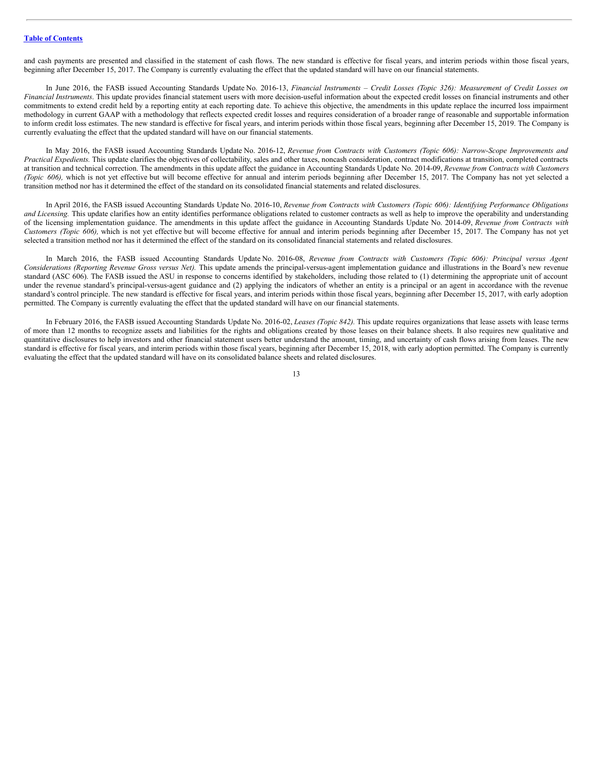and cash payments are presented and classified in the statement of cash flows. The new standard is effective for fiscal years, and interim periods within those fiscal years, beginning after December 15, 2017. The Company is currently evaluating the effect that the updated standard will have on our financial statements.

In June 2016, the FASB issued Accounting Standards Update No. 2016-13, Financial Instruments - Credit Losses (Topic 326): Measurement of Credit Losses on *Financial Instruments*. This update provides financial statement users with more decision-useful information about the expected credit losses on financial instruments and other commitments to extend credit held by a reporting entity at each reporting date. To achieve this objective, the amendments in this update replace the incurred loss impairment methodology in current GAAP with a methodology that reflects expected credit losses and requires consideration of a broader range of reasonable and supportable information to inform credit loss estimates. The new standard is effective for fiscal years, and interim periods within those fiscal years, beginning after December 15, 2019. The Company is currently evaluating the effect that the updated standard will have on our financial statements.

In May 2016, the FASB issued Accounting Standards Update No. 2016-12, *Revenue from Contracts with Customers (Topic 606): Narrow-Scope Improvements and Practical Expedients.* This update clarifies the objectives of collectability, sales and other taxes, noncash consideration, contract modifications at transition, completed contracts at transition and technical correction. The amendments in this update affect the guidance in Accounting Standards Update No. 2014-09, *Revenue from Contracts with Customers (Topic 606)*, which is not yet effective but will become effective for annual and interim periods beginning after December 15, 2017. The Company has not yet selected a transition method nor has it determined the effect of the standard on its consolidated financial statements and related disclosures.

In April 2016, the FASB issued Accounting Standards Update No. 2016-10, Revenue from Contracts with Customers (Topic 606): Identifying Performance Obligations *and Licensing*. This update clarifies how an entity identifies performance obligations related to customer contracts as well as help to improve the operability and understanding of the licensing implementation guidance. The amendments in this update affect the guidance in Accounting Standards Update No. 2014-09, *Revenue from Contracts with Customers (Topic 606),* which is not yet effective but will become effective for annual and interim periods beginning after December 15, 2017. The Company has not yet selected a transition method nor has it determined the effect of the standard on its consolidated financial statements and related disclosures.

In March 2016, the FASB issued Accounting Standards Update No. 2016-08, *Revenue from Contracts with Customers (Topic 606): Principal versus Agent Considerations (Reporting Revenue Gross versus Net).* This update amends the principal-versus-agent implementation guidance and illustrations in the Board's new revenue standard (ASC 606). The FASB issued the ASU in response to concerns identified by stakeholders, including those related to (1) determining the appropriate unit of account under the revenue standard's principal-versus-agent guidance and (2) applying the indicators of whether an entity is a principal or an agent in accordance with the revenue standard's control principle. The new standard is effective for fiscal years, and interim periods within those fiscal years, beginning after December 15, 2017, with early adoption permitted. The Company is currently evaluating the effect that the updated standard will have on our financial statements.

In February 2016, the FASB issued Accounting Standards Update No. 2016-02, *Leases (Topic 842).* This update requires organizations that lease assets with lease terms of more than 12 months to recognize assets and liabilities for the rights and obligations created by those leases on their balance sheets. It also requires new qualitative and quantitative disclosures to help investors and other financial statement users better understand the amount, timing, and uncertainty of cash flows arising from leases. The new standard is effective for fiscal years, and interim periods within those fiscal years, beginning after December 15, 2018, with early adoption permitted. The Company is currently evaluating the effect that the updated standard will have on its consolidated balance sheets and related disclosures.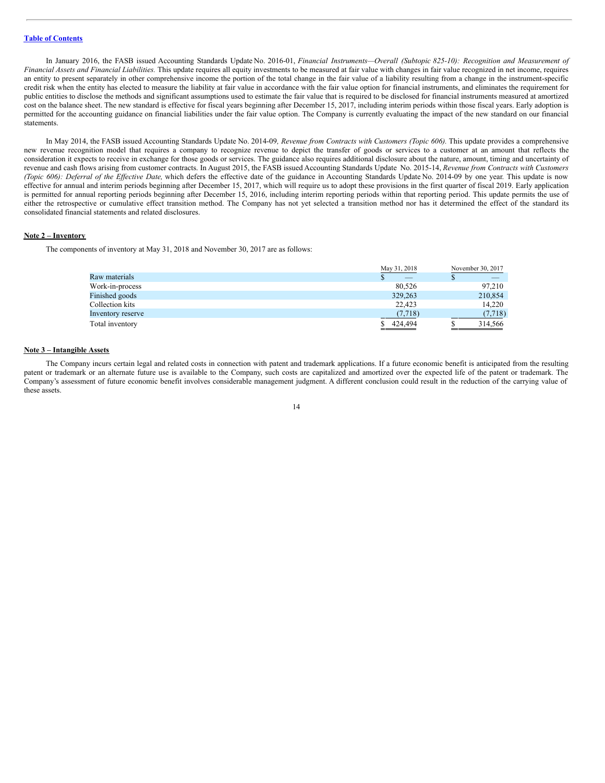In January 2016, the FASB issued Accounting Standards Update No. 2016-01, *Financial Instruments—Overall (Subtopic 825-10): Recognition and Measurement of Financial Assets and Financial Liabilities.* This update requires all equity investments to be measured at fair value with changes in fair value recognized in net income, requires an entity to present separately in other comprehensive income the portion of the total change in the fair value of a liability resulting from a change in the instrument-specific credit risk when the entity has elected to measure the liability at fair value in accordance with the fair value option for financial instruments, and eliminates the requirement for public entities to disclose the methods and significant assumptions used to estimate the fair value that is required to be disclosed for financial instruments measured at amortized cost on the balance sheet. The new standard is effective for fiscal years beginning after December 15, 2017, including interim periods within those fiscal years. Early adoption is permitted for the accounting guidance on financial liabilities under the fair value option. The Company is currently evaluating the impact of the new standard on our financial statements.

In May 2014, the FASB issued Accounting Standards Update No. 2014-09*, Revenue from Contracts with Customers (Topic 606).* This update provides a comprehensive new revenue recognition model that requires a company to recognize revenue to depict the transfer of goods or services to a customer at an amount that reflects the consideration it expects to receive in exchange for those goods or services. The guidance also requires additional disclosure about the nature, amount, timing and uncertainty of revenue and cash flows arising from customer contracts. In August 2015, the FASB issued Accounting Standards Update No. 2015-14, *Revenue from Contracts with Customers (Topic 606): Deferral of the Ef ective Date,* which defers the effective date of the guidance in Accounting Standards Update No. 2014-09 by one year. This update is now effective for annual and interim periods beginning after December 15, 2017, which will require us to adopt these provisions in the first quarter of fiscal 2019. Early application is permitted for annual reporting periods beginning after December 15, 2016, including interim reporting periods within that reporting period. This update permits the use of either the retrospective or cumulative effect transition method. The Company has not yet selected a transition method nor has it determined the effect of the standard its consolidated financial statements and related disclosures.

# **Note 2 – Inventory**

The components of inventory at May 31, 2018 and November 30, 2017 are as follows:

|                   | May 31, 2018 | November 30, 2017 |
|-------------------|--------------|-------------------|
| Raw materials     |              |                   |
| Work-in-process   | 80.526       | 97.210            |
| Finished goods    | 329,263      | 210,854           |
| Collection kits   | 22.423       | 14.220            |
| Inventory reserve | (7.718)      | (7,718)           |
| Total inventory   | 424,494      | 314,566           |

#### **Note 3 – Intangible Assets**

The Company incurs certain legal and related costs in connection with patent and trademark applications. If a future economic benefit is anticipated from the resulting patent or trademark or an alternate future use is available to the Company, such costs are capitalized and amortized over the expected life of the patent or trademark. The Company's assessment of future economic benefit involves considerable management judgment. A different conclusion could result in the reduction of the carrying value of these assets.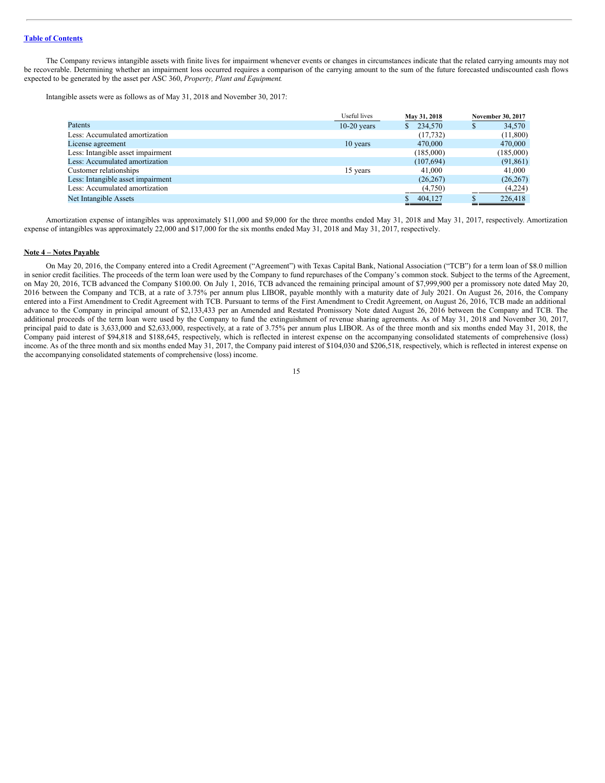The Company reviews intangible assets with finite lives for impairment whenever events or changes in circumstances indicate that the related carrying amounts may not be recoverable. Determining whether an impairment loss occurred requires a comparison of the carrying amount to the sum of the future forecasted undiscounted cash flows expected to be generated by the asset per ASC 360, *Property, Plant and Equipment*.

Intangible assets were as follows as of May 31, 2018 and November 30, 2017:

|                                   | Useful lives  | May 31, 2018            |   | November 30, 2017 |
|-----------------------------------|---------------|-------------------------|---|-------------------|
| Patents                           | $10-20$ years | 234,570<br><sup>S</sup> | S | 34,570            |
| Less: Accumulated amortization    |               | (17, 732)               |   | (11,800)          |
| License agreement                 | 10 years      | 470,000                 |   | 470,000           |
| Less: Intangible asset impairment |               | (185,000)               |   | (185,000)         |
| Less: Accumulated amortization    |               | (107, 694)              |   | (91, 861)         |
| Customer relationships            | 15 years      | 41,000                  |   | 41,000            |
| Less: Intangible asset impairment |               | (26, 267)               |   | (26, 267)         |
| Less: Accumulated amortization    |               | (4,750)                 |   | (4,224)           |
| Net Intangible Assets             |               | 404,127                 |   | 226,418           |

Amortization expense of intangibles was approximately \$11,000 and \$9,000 for the three months ended May 31, 2018 and May 31, 2017, respectively. Amortization expense of intangibles was approximately 22,000 and \$17,000 for the six months ended May 31, 2018 and May 31, 2017, respectively.

#### **Note 4 – Notes Payable**

On May 20, 2016, the Company entered into a Credit Agreement ("Agreement") with Texas Capital Bank, National Association ("TCB") for a term loan of \$8.0 million in senior credit facilities. The proceeds of the term loan were used by the Company to fund repurchases of the Company's common stock. Subject to the terms of the Agreement, on May 20, 2016, TCB advanced the Company \$100.00. On July 1, 2016, TCB advanced the remaining principal amount of \$7,999,900 per a promissory note dated May 20, 2016 between the Company and TCB, at a rate of 3.75% per annum plus LIBOR, payable monthly with a maturity date of July 2021. On August 26, 2016, the Company entered into a First Amendment to Credit Agreement with TCB. Pursuant to terms of the First Amendment to Credit Agreement, on August 26, 2016, TCB made an additional advance to the Company in principal amount of \$2,133,433 per an Amended and Restated Promissory Note dated August 26, 2016 between the Company and TCB. The additional proceeds of the term loan were used by the Company to fund the extinguishment of revenue sharing agreements. As of May 31, 2018 and November 30, 2017, principal paid to date is 3,633,000 and \$2,633,000, respectively, at a rate of 3.75% per annum plus LIBOR. As of the three month and six months ended May 31, 2018, the Company paid interest of \$94,818 and \$188,645, respectively, which is reflected in interest expense on the accompanying consolidated statements of comprehensive (loss) income. As of the three month and six months ended May 31, 2017, the Company paid interest of \$104,030 and \$206,518, respectively, which is reflected in interest expense on the accompanying consolidated statements of comprehensive (loss) income.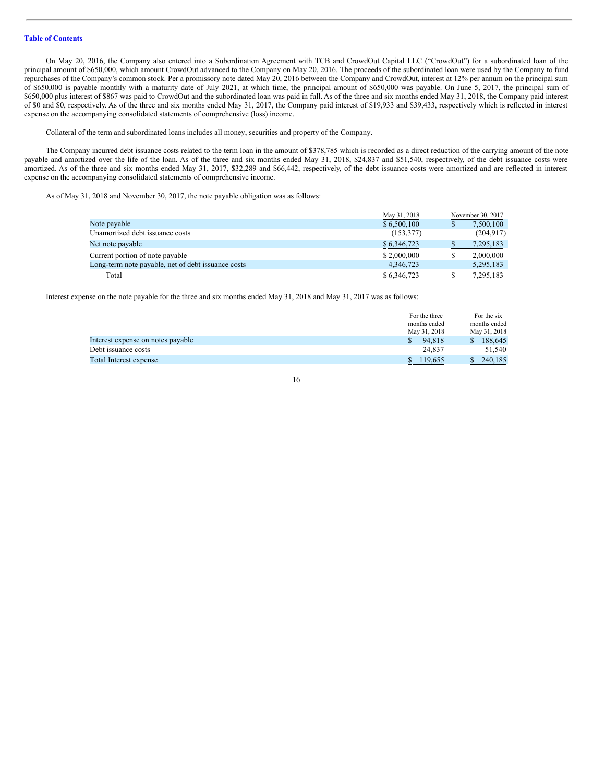On May 20, 2016, the Company also entered into a Subordination Agreement with TCB and CrowdOut Capital LLC ("CrowdOut") for a subordinated loan of the principal amount of \$650,000, which amount CrowdOut advanced to the Company on May 20, 2016. The proceeds of the subordinated loan were used by the Company to fund repurchases of the Company's common stock. Per a promissory note dated May 20, 2016 between the Company and CrowdOut, interest at 12% per annum on the principal sum of \$650,000 is payable monthly with a maturity date of July 2021, at which time, the principal amount of \$650,000 was payable. On June 5, 2017, the principal sum of \$650,000 plus interest of \$867 was paid to CrowdOut and the subordinated loan was paid in full. As of the three and six months ended May 31, 2018, the Company paid interest of \$0 and \$0, respectively. As of the three and six months ended May 31, 2017, the Company paid interest of \$19,933 and \$39,433, respectively which is reflected in interest expense on the accompanying consolidated statements of comprehensive (loss) income.

Collateral of the term and subordinated loans includes all money, securities and property of the Company.

The Company incurred debt issuance costs related to the term loan in the amount of \$378,785 which is recorded as a direct reduction of the carrying amount of the note payable and amortized over the life of the loan. As of the three and six months ended May 31, 2018, \$24,837 and \$51,540, respectively, of the debt issuance costs were amortized. As of the three and six months ended May 31, 2017, \$32,289 and \$66,442, respectively, of the debt issuance costs were amortized and are reflected in interest expense on the accompanying consolidated statements of comprehensive income.

As of May 31, 2018 and November 30, 2017, the note payable obligation was as follows:

|                                                    | May 31, 2018              | November 30, 2017 |
|----------------------------------------------------|---------------------------|-------------------|
| Note payable                                       | \$6,500,100               | 7,500,100         |
| Unamortized debt issuance costs                    | (153, 377)                | (204, 917)        |
| Net note payable                                   | $\underline{\$6,346,723}$ | 7,295,183         |
| Current portion of note payable                    | \$2,000,000               | 2,000,000         |
| Long-term note payable, net of debt issuance costs | 4,346,723                 | 5,295,183         |
| Total                                              | $\underline{\$6,346,723}$ | 7,295,183         |

Interest expense on the note payable for the three and six months ended May 31, 2018 and May 31, 2017 was as follows:

|                                   | For the three | For the six              |
|-----------------------------------|---------------|--------------------------|
|                                   | months ended  | months ended             |
|                                   | May 31, 2018  | May 31, 2018             |
| Interest expense on notes payable | 94.818        | 188,645<br><sup>\$</sup> |
| Debt issuance costs               | 24.837        | 51.540                   |
| <b>Total Interest expense</b>     | 119.655       | 240,185                  |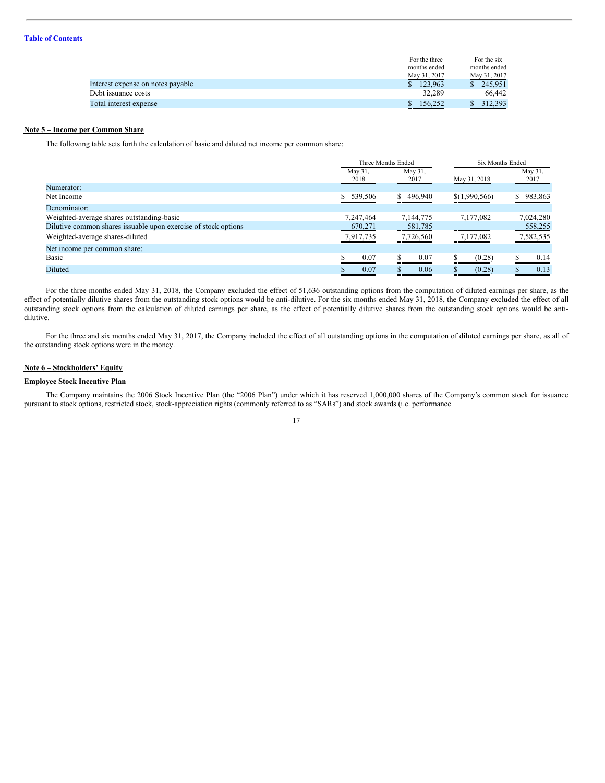|                                   | For the three | For the six             |
|-----------------------------------|---------------|-------------------------|
|                                   | months ended  | months ended            |
|                                   | May 31, 2017  | May 31, 2017            |
| Interest expense on notes payable | 123.963<br>S. | 245,951<br><sup>S</sup> |
| Debt issuance costs               | 32,289        | 66,442                  |
| Total interest expense            | 156,252       | 312.393                 |

# **Note 5 – Income per Common Share**

The following table sets forth the calculation of basic and diluted net income per common share:

|                                                                |                 | Three Months Ended |               | Six Months Ended |
|----------------------------------------------------------------|-----------------|--------------------|---------------|------------------|
|                                                                | May 31,<br>2018 | May 31,<br>2017    | May 31, 2018  | May 31,<br>2017  |
| Numerator:                                                     |                 |                    |               |                  |
| Net Income                                                     | \$ 539,506      | 496,940<br>S.      | \$(1,990,566) | 983,863          |
| Denominator:                                                   |                 |                    |               |                  |
| Weighted-average shares outstanding-basic                      | 7,247,464       | 7,144,775          | 7,177,082     | 7,024,280        |
| Dilutive common shares issuable upon exercise of stock options | 670,271         | 581,785            |               | 558,255          |
| Weighted-average shares-diluted                                | 7,917,735       | 7,726,560          | 7,177,082     | 7,582,535        |
| Net income per common share:                                   |                 |                    |               |                  |
| Basic                                                          | 0.07            | 0.07               | (0.28)        | 0.14             |
| Diluted                                                        | 0.07            | 0.06               | (0.28)        | 0.13             |

For the three months ended May 31, 2018, the Company excluded the effect of 51,636 outstanding options from the computation of diluted earnings per share, as the effect of potentially dilutive shares from the outstanding stock options would be anti-dilutive. For the six months ended May 31, 2018, the Company excluded the effect of all outstanding stock options from the calculation of diluted earnings per share, as the effect of potentially dilutive shares from the outstanding stock options would be antidilutive.

For the three and six months ended May 31, 2017, the Company included the effect of all outstanding options in the computation of diluted earnings per share, as all of the outstanding stock options were in the money.

# **Note 6 – Stockholders' Equity**

# **Employee Stock Incentive Plan**

The Company maintains the 2006 Stock Incentive Plan (the "2006 Plan") under which it has reserved 1,000,000 shares of the Company's common stock for issuance pursuant to stock options, restricted stock, stock-appreciation rights (commonly referred to as "SARs") and stock awards (i.e. performance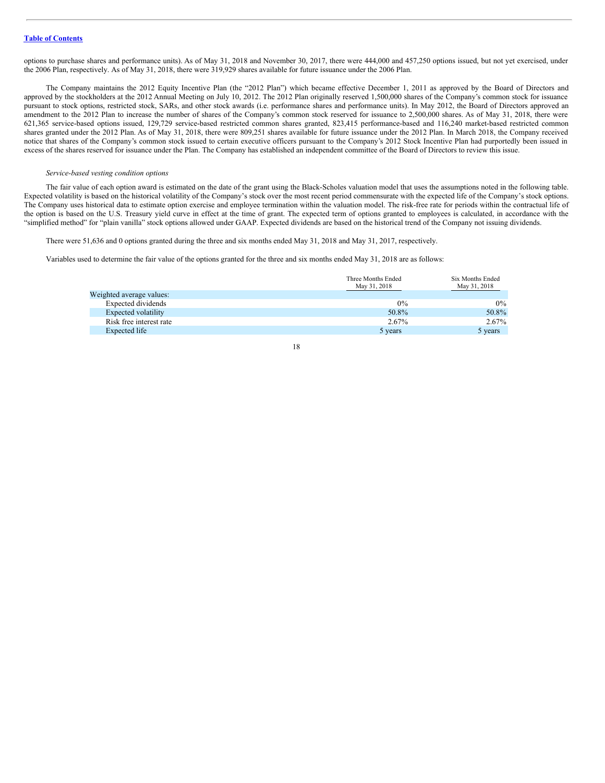options to purchase shares and performance units). As of May 31, 2018 and November 30, 2017, there were 444,000 and 457,250 options issued, but not yet exercised, under the 2006 Plan, respectively. As of May 31, 2018, there were 319,929 shares available for future issuance under the 2006 Plan.

The Company maintains the 2012 Equity Incentive Plan (the "2012 Plan") which became effective December 1, 2011 as approved by the Board of Directors and approved by the stockholders at the 2012 Annual Meeting on July 10, 2012. The 2012 Plan originally reserved 1,500,000 shares of the Company's common stock for issuance pursuant to stock options, restricted stock, SARs, and other stock awards (i.e. performance shares and performance units). In May 2012, the Board of Directors approved an amendment to the 2012 Plan to increase the number of shares of the Company's common stock reserved for issuance to 2,500,000 shares. As of May 31, 2018, there were 621,365 service-based options issued, 129,729 service-based restricted common shares granted, 823,415 performance-based and 116,240 market-based restricted common shares granted under the 2012 Plan. As of May 31, 2018, there were 809,251 shares available for future issuance under the 2012 Plan. In March 2018, the Company received notice that shares of the Company's common stock issued to certain executive officers pursuant to the Company's 2012 Stock Incentive Plan had purportedly been issued in excess of the shares reserved for issuance under the Plan. The Company has established an independent committee of the Board of Directors to review this issue.

#### *Service-based vesting condition options*

The fair value of each option award is estimated on the date of the grant using the Black-Scholes valuation model that uses the assumptions noted in the following table. Expected volatility is based on the historical volatility of the Company's stock over the most recent period commensurate with the expected life of the Company's stock options. The Company uses historical data to estimate option exercise and employee termination within the valuation model. The risk-free rate for periods within the contractual life of the option is based on the U.S. Treasury yield curve in effect at the time of grant. The expected term of options granted to employees is calculated, in accordance with the "simplified method" for "plain vanilla" stock options allowed under GAAP. Expected dividends are based on the historical trend of the Company not issuing dividends.

There were 51,636 and 0 options granted during the three and six months ended May 31, 2018 and May 31, 2017, respectively.

Variables used to determine the fair value of the options granted for the three and six months ended May 31, 2018 are as follows:

|                          | Three Months Ended | Six Months Ended |
|--------------------------|--------------------|------------------|
|                          | May 31, 2018       | May 31, 2018     |
| Weighted average values: |                    |                  |
| Expected dividends       | $0\%$              | $0\%$            |
| Expected volatility      | 50.8%              | 50.8%            |
| Risk free interest rate  | 2.67%              | 2.67%            |
| Expected life            | 5 years            | 5 years          |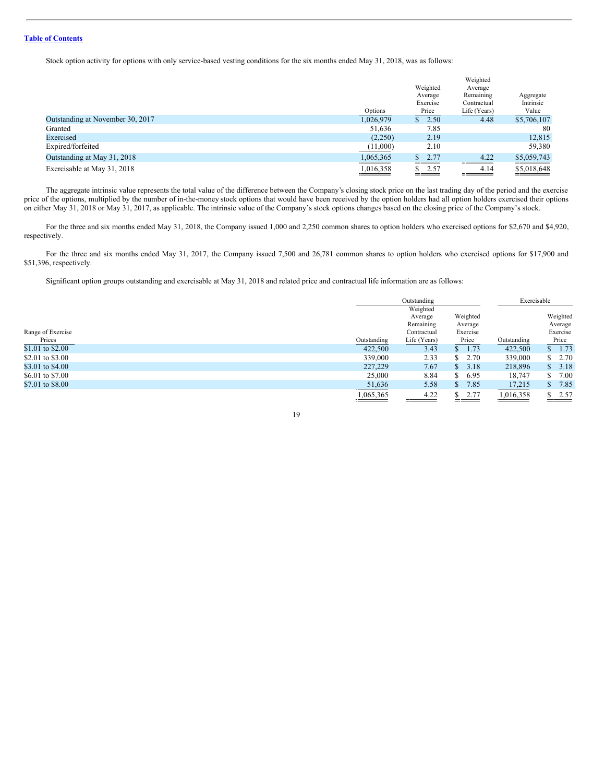Stock option activity for options with only service-based vesting conditions for the six months ended May 31, 2018, was as follows:

|                                  |           |          | Weighted     |             |
|----------------------------------|-----------|----------|--------------|-------------|
|                                  |           | Weighted | Average      |             |
|                                  |           | Average  | Remaining    | Aggregate   |
|                                  |           | Exercise | Contractual  | Intrinsic   |
|                                  | Options   | Price    | Life (Years) | Value       |
| Outstanding at November 30, 2017 | 1,026,979 | \$2.50   | 4.48         | \$5,706,107 |
| Granted                          | 51,636    | 7.85     |              | 80          |
| Exercised                        | (2,250)   | 2.19     |              | 12,815      |
| Expired/forfeited                | (11,000)  | 2.10     |              | 59,380      |
| Outstanding at May 31, 2018      | 1,065,365 | \$2.77   | 4.22         | \$5,059,743 |
| Exercisable at May 31, 2018      | 1,016,358 | \$2.57   | 4.14         | \$5,018,648 |

The aggregate intrinsic value represents the total value of the difference between the Company's closing stock price on the last trading day of the period and the exercise price of the options, multiplied by the number of in-the-money stock options that would have been received by the option holders had all option holders exercised their options on either May 31, 2018 or May 31, 2017, as applicable. The intrinsic value of the Company's stock options changes based on the closing price of the Company's stock.

For the three and six months ended May 31, 2018, the Company issued 1,000 and 2,250 common shares to option holders who exercised options for \$2,670 and \$4,920, respectively.

For the three and six months ended May 31, 2017, the Company issued 7,500 and 26,781 common shares to option holders who exercised options for \$17,900 and \$51,396, respectively.

Significant option groups outstanding and exercisable at May 31, 2018 and related price and contractual life information are as follows:

|                   |             | Outstanding  |            | Exercisable |             |
|-------------------|-------------|--------------|------------|-------------|-------------|
|                   |             | Weighted     |            |             |             |
|                   |             | Average      | Weighted   |             | Weighted    |
|                   |             | Remaining    | Average    |             | Average     |
| Range of Exercise |             | Contractual  | Exercise   |             | Exercise    |
| Prices            | Outstanding | Life (Years) | Price      | Outstanding | Price       |
| \$1.01 to \$2.00  | 422,500     | 3.43         | 1.73<br>S. | 422,500     | 1.73<br>S.  |
| \$2.01 to \$3.00  | 339,000     | 2.33         | \$2.70     | 339,000     | 2.70<br>\$. |
| \$3.01 to \$4.00  | 227,229     | 7.67         | \$3.18     | 218,896     | 3.18<br>S.  |
| \$6.01 to \$7.00  | 25,000      | 8.84         | \$6.95     | 18,747      | 7.00<br>\$  |
| \$7.01 to \$8.00  | 51,636      | 5.58         | 7.85<br>S. | 17,215      | 7.85<br>S.  |
|                   | 1,065,365   | 4.22         | \$2.77     | 1,016,358   | 2.57        |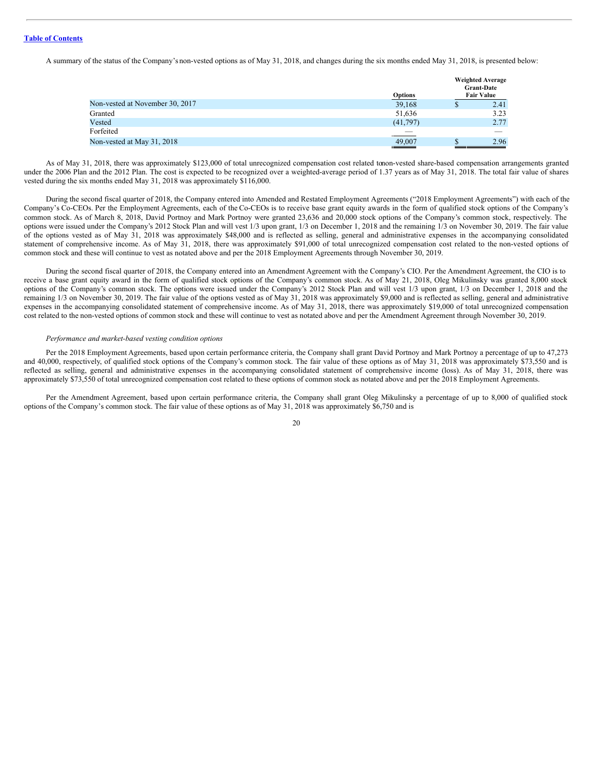A summary of the status of the Company's non-vested options as of May 31, 2018, and changes during the six months ended May 31, 2018, is presented below:

|                                 | <b>Options</b> | <b>Weighted Average</b><br><b>Grant-Date</b><br><b>Fair Value</b> |      |  |
|---------------------------------|----------------|-------------------------------------------------------------------|------|--|
| Non-vested at November 30, 2017 | 39,168         | Φ                                                                 | 2.41 |  |
| Granted                         | 51,636         |                                                                   | 3.23 |  |
| Vested                          | (41,797)       |                                                                   | 2.77 |  |
| Forfeited                       |                |                                                                   |      |  |
| Non-vested at May 31, 2018      | 49,007         |                                                                   | 2.96 |  |

As of May 31, 2018, there was approximately \$123,000 of total unrecognized compensation cost related tonon-vested share-based compensation arrangements granted under the 2006 Plan and the 2012 Plan. The cost is expected to be recognized over a weighted-average period of 1.37 years as of May 31, 2018. The total fair value of shares vested during the six months ended May 31, 2018 was approximately \$116,000.

During the second fiscal quarter of 2018, the Company entered into Amended and Restated Employment Agreements ("2018 Employment Agreements") with each of the Company's Co-CEOs. Per the Employment Agreements, each of the Co-CEOs is to receive base grant equity awards in the form of qualified stock options of the Company's common stock. As of March 8, 2018, David Portnoy and Mark Portnoy were granted 23,636 and 20,000 stock options of the Company's common stock, respectively. The options were issued under the Company's 2012 Stock Plan and will vest 1/3 upon grant, 1/3 on December 1, 2018 and the remaining 1/3 on November 30, 2019. The fair value of the options vested as of May 31, 2018 was approximately \$48,000 and is reflected as selling, general and administrative expenses in the accompanying consolidated statement of comprehensive income. As of May 31, 2018, there was approximately \$91,000 of total unrecognized compensation cost related to the non-vested options of common stock and these will continue to vest as notated above and per the 2018 Employment Agreements through November 30, 2019.

During the second fiscal quarter of 2018, the Company entered into an Amendment Agreement with the Company's CIO. Per the Amendment Agreement, the CIO is to receive a base grant equity award in the form of qualified stock options of the Company's common stock. As of May 21, 2018, Oleg Mikulinsky was granted 8,000 stock options of the Company's common stock. The options were issued under the Company's 2012 Stock Plan and will vest 1/3 upon grant, 1/3 on December 1, 2018 and the remaining 1/3 on November 30, 2019. The fair value of the options vested as of May 31, 2018 was approximately \$9,000 and is reflected as selling, general and administrative expenses in the accompanying consolidated statement of comprehensive income. As of May 31, 2018, there was approximately \$19,000 of total unrecognized compensation cost related to the non-vested options of common stock and these will continue to vest as notated above and per the Amendment Agreement through November 30, 2019.

#### *Performance and market-based vesting condition options*

Per the 2018 Employment Agreements, based upon certain performance criteria, the Company shall grant David Portnoy and Mark Portnoy a percentage of up to 47,273 and 40,000, respectively, of qualified stock options of the Company's common stock. The fair value of these options as of May 31, 2018 was approximately \$73,550 and is reflected as selling, general and administrative expenses in the accompanying consolidated statement of comprehensive income (loss). As of May 31, 2018, there was approximately \$73,550 of total unrecognized compensation cost related to these options of common stock as notated above and per the 2018 Employment Agreements.

Per the Amendment Agreement, based upon certain performance criteria, the Company shall grant Oleg Mikulinsky a percentage of up to 8,000 of qualified stock options of the Company's common stock. The fair value of these options as of May 31, 2018 was approximately \$6,750 and is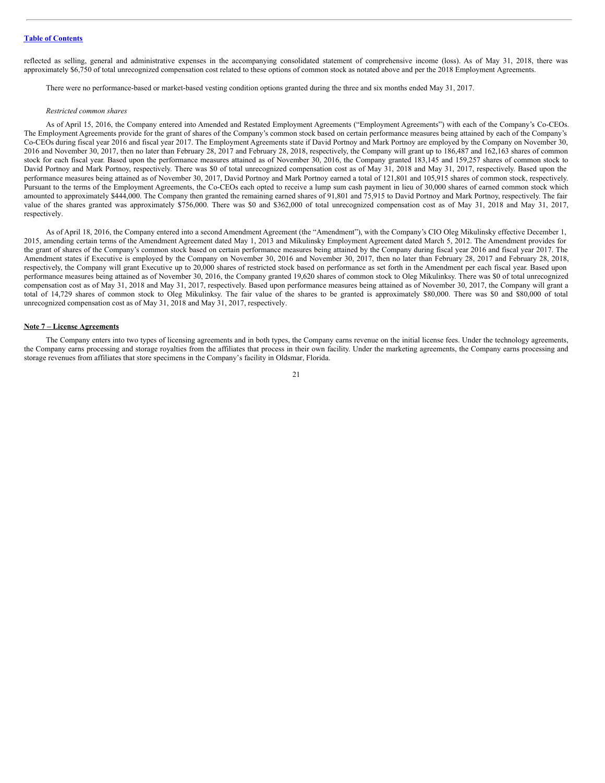reflected as selling, general and administrative expenses in the accompanying consolidated statement of comprehensive income (loss). As of May 31, 2018, there was approximately \$6,750 of total unrecognized compensation cost related to these options of common stock as notated above and per the 2018 Employment Agreements.

There were no performance-based or market-based vesting condition options granted during the three and six months ended May 31, 2017.

#### *Restricted common shares*

As of April 15, 2016, the Company entered into Amended and Restated Employment Agreements ("Employment Agreements") with each of the Company's Co-CEOs. The Employment Agreements provide for the grant of shares of the Company's common stock based on certain performance measures being attained by each of the Company's Co-CEOs during fiscal year 2016 and fiscal year 2017. The Employment Agreements state if David Portnoy and Mark Portnoy are employed by the Company on November 30, 2016 and November 30, 2017, then no later than February 28, 2017 and February 28, 2018, respectively, the Company will grant up to 186,487 and 162,163 shares of common stock for each fiscal year. Based upon the performance measures attained as of November 30, 2016, the Company granted 183,145 and 159,257 shares of common stock to David Portnoy and Mark Portnoy, respectively. There was \$0 of total unrecognized compensation cost as of May 31, 2018 and May 31, 2017, respectively. Based upon the performance measures being attained as of November 30, 2017, David Portnoy and Mark Portnoy earned a total of 121,801 and 105,915 shares of common stock, respectively. Pursuant to the terms of the Employment Agreements, the Co-CEOs each opted to receive a lump sum cash payment in lieu of 30,000 shares of earned common stock which amounted to approximately \$444,000. The Company then granted the remaining earned shares of 91,801 and 75,915 to David Portnoy and Mark Portnoy, respectively. The fair value of the shares granted was approximately \$756,000. There was \$0 and \$362,000 of total unrecognized compensation cost as of May 31, 2018 and May 31, 2017, respectively.

As of April 18, 2016, the Company entered into a second Amendment Agreement (the "Amendment"), with the Company's CIO Oleg Mikulinsky effective December 1, 2015, amending certain terms of the Amendment Agreement dated May 1, 2013 and Mikulinsky Employment Agreement dated March 5, 2012. The Amendment provides for the grant of shares of the Company's common stock based on certain performance measures being attained by the Company during fiscal year 2016 and fiscal year 2017. The Amendment states if Executive is employed by the Company on November 30, 2016 and November 30, 2017, then no later than February 28, 2017 and February 28, 2018, respectively, the Company will grant Executive up to 20,000 shares of restricted stock based on performance as set forth in the Amendment per each fiscal year. Based upon performance measures being attained as of November 30, 2016, the Company granted 19,620 shares of common stock to Oleg Mikulinksy. There was \$0 of total unrecognized compensation cost as of May 31, 2018 and May 31, 2017, respectively. Based upon performance measures being attained as of November 30, 2017, the Company will grant a total of 14,729 shares of common stock to Oleg Mikulinksy. The fair value of the shares to be granted is approximately \$80,000. There was \$0 and \$80,000 of total unrecognized compensation cost as of May 31, 2018 and May 31, 2017, respectively.

#### **Note 7 – License Agreements**

The Company enters into two types of licensing agreements and in both types, the Company earns revenue on the initial license fees. Under the technology agreements, the Company earns processing and storage royalties from the affiliates that process in their own facility. Under the marketing agreements, the Company earns processing and storage revenues from affiliates that store specimens in the Company's facility in Oldsmar, Florida.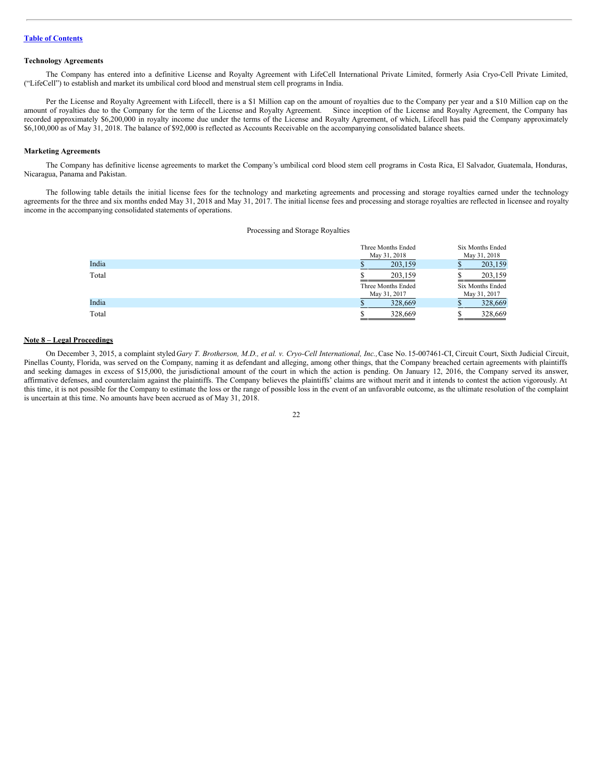#### **Technology Agreements**

The Company has entered into a definitive License and Royalty Agreement with LifeCell International Private Limited, formerly Asia Cryo-Cell Private Limited, ("LifeCell") to establish and market its umbilical cord blood and menstrual stem cell programs in India.

Per the License and Royalty Agreement with Lifecell, there is a \$1 Million cap on the amount of royalties due to the Company per year and a \$10 Million cap on the amount of royalties due to the Company for the term of the License and Royalty Agreement. Since inception of the License and Royalty Agreement, the Company has recorded approximately \$6,200,000 in royalty income due under the terms of the License and Royalty Agreement, of which, Lifecell has paid the Company approximately \$6,100,000 as of May 31, 2018. The balance of \$92,000 is reflected as Accounts Receivable on the accompanying consolidated balance sheets.

#### **Marketing Agreements**

The Company has definitive license agreements to market the Company's umbilical cord blood stem cell programs in Costa Rica, El Salvador, Guatemala, Honduras, Nicaragua, Panama and Pakistan.

The following table details the initial license fees for the technology and marketing agreements and processing and storage royalties earned under the technology agreements for the three and six months ended May 31, 2018 and May 31, 2017. The initial license fees and processing and storage royalties are reflected in licensee and royalty income in the accompanying consolidated statements of operations.

|       | Three Months Ended | Six Months Ended |  |
|-------|--------------------|------------------|--|
|       | May 31, 2018       |                  |  |
| India | 203,159            | 203,159          |  |
| Total | 203.159            | 203,159          |  |
|       | Three Months Ended | Six Months Ended |  |
|       | May 31, 2017       |                  |  |
| India | 328,669            | 328,669          |  |
| Total | 328,669            | 328,669          |  |

#### **Note 8 – Legal Proceedings**

On December 3, 2015, a complaint styled Gary T. Brotherson, M.D., et al. v. Cryo-Cell International, Inc., Case No. 15-007461-CI, Circuit Court, Sixth Judicial Circuit, Pinellas County, Florida, was served on the Company, naming it as defendant and alleging, among other things, that the Company breached certain agreements with plaintiffs and seeking damages in excess of \$15,000, the jurisdictional amount of the court in which the action is pending. On January 12, 2016, the Company served its answer, affirmative defenses, and counterclaim against the plaintiffs. The Company believes the plaintiffs' claims are without merit and it intends to contest the action vigorously. At this time, it is not possible for the Company to estimate the loss or the range of possible loss in the event of an unfavorable outcome, as the ultimate resolution of the complaint is uncertain at this time. No amounts have been accrued as of May 31, 2018.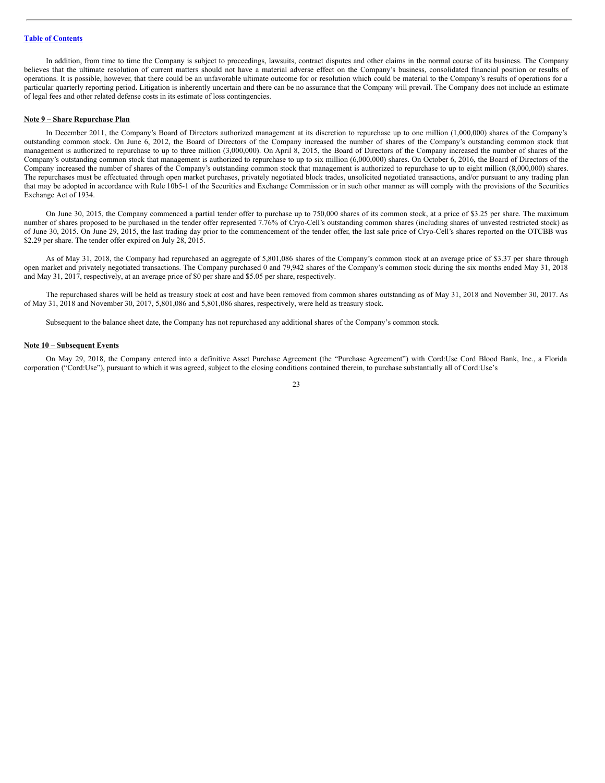In addition, from time to time the Company is subject to proceedings, lawsuits, contract disputes and other claims in the normal course of its business. The Company believes that the ultimate resolution of current matters should not have a material adverse effect on the Company's business, consolidated financial position or results of operations. It is possible, however, that there could be an unfavorable ultimate outcome for or resolution which could be material to the Company's results of operations for a particular quarterly reporting period. Litigation is inherently uncertain and there can be no assurance that the Company will prevail. The Company does not include an estimate of legal fees and other related defense costs in its estimate of loss contingencies.

#### **Note 9 – Share Repurchase Plan**

In December 2011, the Company's Board of Directors authorized management at its discretion to repurchase up to one million (1,000,000) shares of the Company's outstanding common stock. On June 6, 2012, the Board of Directors of the Company increased the number of shares of the Company's outstanding common stock that management is authorized to repurchase to up to three million (3,000,000). On April 8, 2015, the Board of Directors of the Company increased the number of shares of the Company's outstanding common stock that management is authorized to repurchase to up to six million (6,000,000) shares. On October 6, 2016, the Board of Directors of the Company increased the number of shares of the Company's outstanding common stock that management is authorized to repurchase to up to eight million (8,000,000) shares. The repurchases must be effectuated through open market purchases, privately negotiated block trades, unsolicited negotiated transactions, and/or pursuant to any trading plan that may be adopted in accordance with Rule 10b5-1 of the Securities and Exchange Commission or in such other manner as will comply with the provisions of the Securities Exchange Act of 1934.

On June 30, 2015, the Company commenced a partial tender offer to purchase up to 750,000 shares of its common stock, at a price of \$3.25 per share. The maximum number of shares proposed to be purchased in the tender offer represented 7.76% of Cryo-Cell's outstanding common shares (including shares of unvested restricted stock) as of June 30, 2015. On June 29, 2015, the last trading day prior to the commencement of the tender offer, the last sale price of Cryo-Cell's shares reported on the OTCBB was \$2.29 per share. The tender offer expired on July 28, 2015.

As of May 31, 2018, the Company had repurchased an aggregate of 5,801,086 shares of the Company's common stock at an average price of \$3.37 per share through open market and privately negotiated transactions. The Company purchased 0 and 79,942 shares of the Company's common stock during the six months ended May 31, 2018 and May 31, 2017, respectively, at an average price of \$0 per share and \$5.05 per share, respectively.

The repurchased shares will be held as treasury stock at cost and have been removed from common shares outstanding as of May 31, 2018 and November 30, 2017. As of May 31, 2018 and November 30, 2017, 5,801,086 and 5,801,086 shares, respectively, were held as treasury stock.

Subsequent to the balance sheet date, the Company has not repurchased any additional shares of the Company's common stock.

#### **Note 10 – Subsequent Events**

On May 29, 2018, the Company entered into a definitive Asset Purchase Agreement (the "Purchase Agreement") with Cord:Use Cord Blood Bank, Inc., a Florida corporation ("Cord:Use"), pursuant to which it was agreed, subject to the closing conditions contained therein, to purchase substantially all of Cord:Use's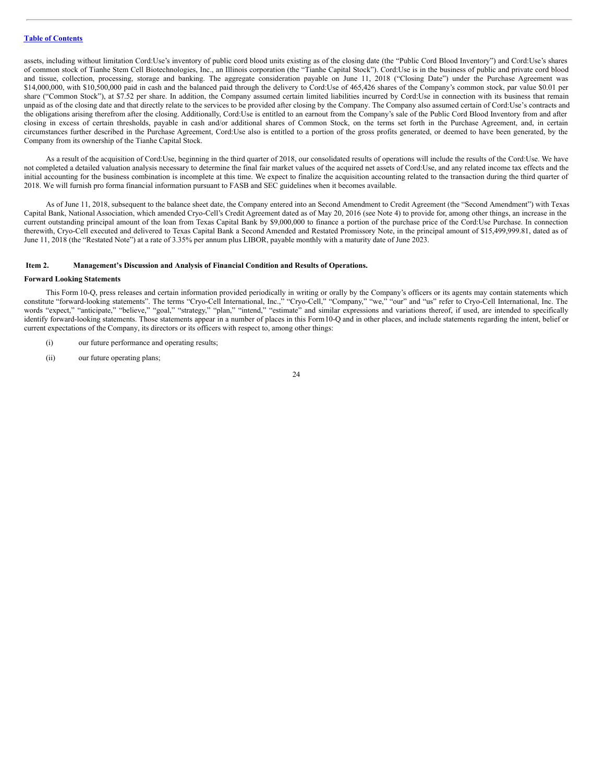assets, including without limitation Cord:Use's inventory of public cord blood units existing as of the closing date (the "Public Cord Blood Inventory") and Cord:Use's shares of common stock of Tianhe Stem Cell Biotechnologies, Inc., an Illinois corporation (the "Tianhe Capital Stock"). Cord:Use is in the business of public and private cord blood and tissue, collection, processing, storage and banking. The aggregate consideration payable on June 11, 2018 ("Closing Date") under the Purchase Agreement was \$14,000,000, with \$10,500,000 paid in cash and the balanced paid through the delivery to Cord:Use of 465,426 shares of the Company's common stock, par value \$0.01 per share ("Common Stock"), at \$7.52 per share. In addition, the Company assumed certain limited liabilities incurred by Cord:Use in connection with its business that remain unpaid as of the closing date and that directly relate to the services to be provided after closing by the Company. The Company also assumed certain of Cord:Use's contracts and the obligations arising therefrom after the closing. Additionally, Cord:Use is entitled to an earnout from the Company's sale of the Public Cord Blood Inventory from and after closing in excess of certain thresholds, payable in cash and/or additional shares of Common Stock, on the terms set forth in the Purchase Agreement, and, in certain circumstances further described in the Purchase Agreement, Cord:Use also is entitled to a portion of the gross profits generated, or deemed to have been generated, by the Company from its ownership of the Tianhe Capital Stock.

As a result of the acquisition of Cord:Use, beginning in the third quarter of 2018, our consolidated results of operations will include the results of the Cord:Use. We have not completed a detailed valuation analysis necessary to determine the final fair market values of the acquired net assets of Cord:Use, and any related income tax effects and the initial accounting for the business combination is incomplete at this time. We expect to finalize the acquisition accounting related to the transaction during the third quarter of 2018. We will furnish pro forma financial information pursuant to FASB and SEC guidelines when it becomes available.

As of June 11, 2018, subsequent to the balance sheet date, the Company entered into an Second Amendment to Credit Agreement (the "Second Amendment") with Texas Capital Bank, National Association, which amended Cryo-Cell's Credit Agreement dated as of May 20, 2016 (see Note 4) to provide for, among other things, an increase in the current outstanding principal amount of the loan from Texas Capital Bank by \$9,000,000 to finance a portion of the purchase price of the Cord:Use Purchase. In connection therewith, Cryo-Cell executed and delivered to Texas Capital Bank a Second Amended and Restated Promissory Note, in the principal amount of \$15,499,999.81, dated as of June 11, 2018 (the "Restated Note") at a rate of 3.35% per annum plus LIBOR, payable monthly with a maturity date of June 2023.

#### <span id="page-23-0"></span>**Item 2. Management's Discussion and Analysis of Financial Condition and Results of Operations.**

#### **Forward Looking Statements**

This Form 10-Q, press releases and certain information provided periodically in writing or orally by the Company's officers or its agents may contain statements which constitute "forward-looking statements". The terms "Cryo-Cell International, Inc.," "Cryo-Cell," "Company," "we," "our" and "us" refer to Cryo-Cell International, Inc. The words "expect," "anticipate," "believe," "goal," "strategy," "plan," "intend," "estimate" and similar expressions and variations thereof, if used, are intended to specifically identify forward-looking statements. Those statements appear in a number of places in this Form10-Q and in other places, and include statements regarding the intent, belief or current expectations of the Company, its directors or its officers with respect to, among other things:

- (i) our future performance and operating results;
- (ii) our future operating plans;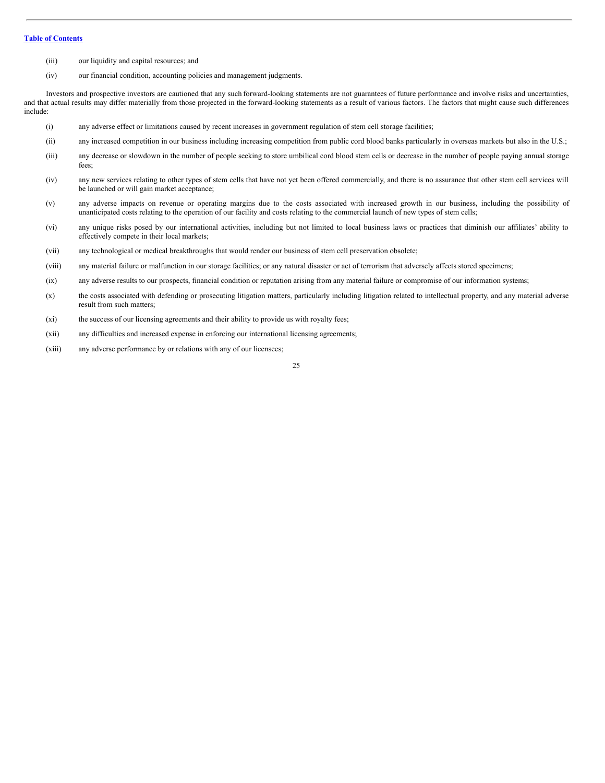- (iii) our liquidity and capital resources; and
- (iv) our financial condition, accounting policies and management judgments.

Investors and prospective investors are cautioned that any such forward-looking statements are not guarantees of future performance and involve risks and uncertainties, and that actual results may differ materially from those projected in the forward-looking statements as a result of various factors. The factors that might cause such differences include:

- (i) any adverse effect or limitations caused by recent increases in government regulation of stem cell storage facilities;
- (ii) any increased competition in our business including increasing competition from public cord blood banks particularly in overseas markets but also in the U.S.;
- (iii) any decrease or slowdown in the number of people seeking to store umbilical cord blood stem cells or decrease in the number of people paying annual storage fees;
- (iv) any new services relating to other types of stem cells that have not yet been offered commercially, and there is no assurance that other stem cell services will be launched or will gain market acceptance;
- (v) any adverse impacts on revenue or operating margins due to the costs associated with increased growth in our business, including the possibility of unanticipated costs relating to the operation of our facility and costs relating to the commercial launch of new types of stem cells;
- (vi) any unique risks posed by our international activities, including but not limited to local business laws or practices that diminish our affiliates' ability to effectively compete in their local markets;
- (vii) any technological or medical breakthroughs that would render our business of stem cell preservation obsolete;
- (viii) any material failure or malfunction in our storage facilities; or any natural disaster or act of terrorism that adversely affects stored specimens;
- (ix) any adverse results to our prospects, financial condition or reputation arising from any material failure or compromise of our information systems;
- (x) the costs associated with defending or prosecuting litigation matters, particularly including litigation related to intellectual property, and any material adverse result from such matters;
- (xi) the success of our licensing agreements and their ability to provide us with royalty fees;
- (xii) any difficulties and increased expense in enforcing our international licensing agreements;
- (xiii) any adverse performance by or relations with any of our licensees;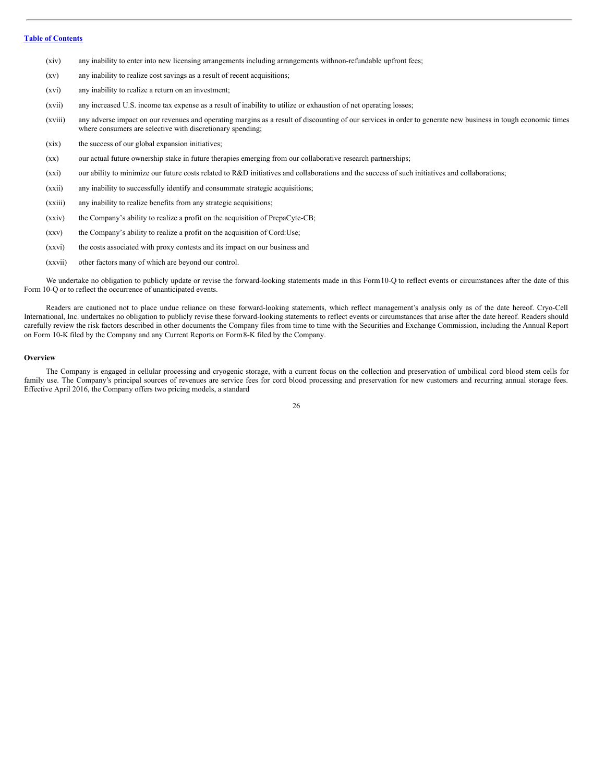- (xiv) any inability to enter into new licensing arrangements including arrangements withnon-refundable upfront fees;
- (xv) any inability to realize cost savings as a result of recent acquisitions;
- (xvi) any inability to realize a return on an investment;
- (xvii) any increased U.S. income tax expense as a result of inability to utilize or exhaustion of net operating losses;
- (xviii) any adverse impact on our revenues and operating margins as a result of discounting of our services in order to generate new business in tough economic times where consumers are selective with discretionary spending;
- (xix) the success of our global expansion initiatives;
- (xx) our actual future ownership stake in future therapies emerging from our collaborative research partnerships;
- (xxi) our ability to minimize our future costs related to R&D initiatives and collaborations and the success of such initiatives and collaborations;
- (xxii) any inability to successfully identify and consummate strategic acquisitions;
- (xxiii) any inability to realize benefits from any strategic acquisitions;
- (xxiv) the Company's ability to realize a profit on the acquisition of PrepaCyte-CB;
- (xxv) the Company's ability to realize a profit on the acquisition of Cord:Use;
- (xxvi) the costs associated with proxy contests and its impact on our business and
- (xxvii) other factors many of which are beyond our control.

We undertake no obligation to publicly update or revise the forward-looking statements made in this Form10-Q to reflect events or circumstances after the date of this Form 10-Q or to reflect the occurrence of unanticipated events.

Readers are cautioned not to place undue reliance on these forward-looking statements, which reflect management's analysis only as of the date hereof. Cryo-Cell International, Inc. undertakes no obligation to publicly revise these forward-looking statements to reflect events or circumstances that arise after the date hereof. Readers should carefully review the risk factors described in other documents the Company files from time to time with the Securities and Exchange Commission, including the Annual Report on Form 10-K filed by the Company and any Current Reports on Form8-K filed by the Company.

#### **Overview**

The Company is engaged in cellular processing and cryogenic storage, with a current focus on the collection and preservation of umbilical cord blood stem cells for family use. The Company's principal sources of revenues are service fees for cord blood processing and preservation for new customers and recurring annual storage fees. Effective April 2016, the Company offers two pricing models, a standard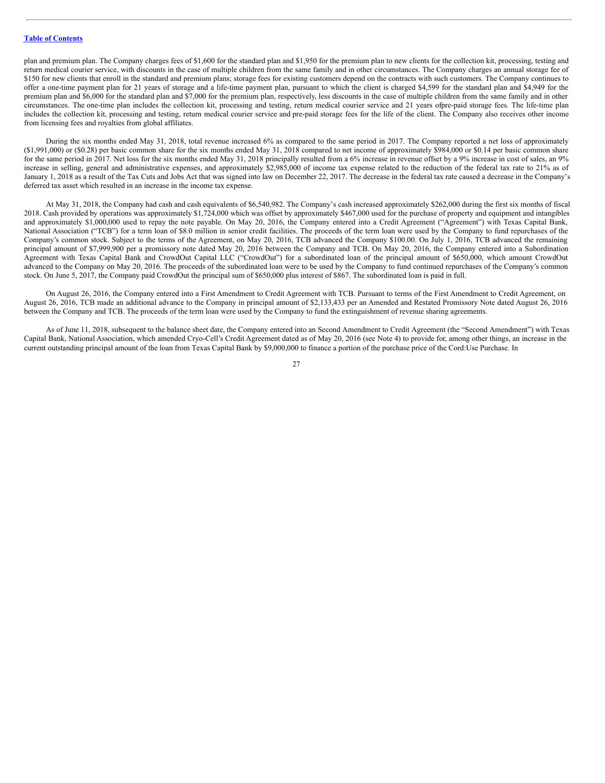plan and premium plan. The Company charges fees of \$1,600 for the standard plan and \$1,950 for the premium plan to new clients for the collection kit, processing, testing and return medical courier service, with discounts in the case of multiple children from the same family and in other circumstances. The Company charges an annual storage fee of \$150 for new clients that enroll in the standard and premium plans; storage fees for existing customers depend on the contracts with such customers. The Company continues to offer a one-time payment plan for 21 years of storage and a life-time payment plan, pursuant to which the client is charged \$4,599 for the standard plan and \$4,949 for the premium plan and \$6,000 for the standard plan and \$7,000 for the premium plan, respectively, less discounts in the case of multiple children from the same family and in other circumstances. The one-time plan includes the collection kit, processing and testing, return medical courier service and 21 years ofpre-paid storage fees. The life-time plan includes the collection kit, processing and testing, return medical courier service and pre-paid storage fees for the life of the client. The Company also receives other income from licensing fees and royalties from global affiliates.

During the six months ended May 31, 2018, total revenue increased 6% as compared to the same period in 2017. The Company reported a net loss of approximately  $(1,991,000)$  or  $(1,991,000)$  or  $(1,991,000)$  or  $(1,991,000)$  or  $(1,991,000)$  or  $(1,991,000)$  or  $(1,991,000)$  or  $(1,991,000)$  or  $(1,991,000)$  or  $(1,991,000)$  or  $(1,991,000)$  or  $(1,991,000)$  or  $(1,991,000)$  or for the same period in 2017. Net loss for the six months ended May 31, 2018 principally resulted from a 6% increase in revenue offset by a 9% increase in cost of sales, an 9% increase in selling, general and administrative expenses, and approximately \$2,985,000 of income tax expense related to the reduction of the federal tax rate to 21% as of January 1, 2018 as a result of the Tax Cuts and Jobs Act that was signed into law on December 22, 2017. The decrease in the federal tax rate caused a decrease in the Company's deferred tax asset which resulted in an increase in the income tax expense.

At May 31, 2018, the Company had cash and cash equivalents of \$6,540,982. The Company's cash increased approximately \$262,000 during the first six months of fiscal 2018. Cash provided by operations was approximately \$1,724,000 which was offset by approximately \$467,000 used for the purchase of property and equipment and intangibles and approximately \$1,000,000 used to repay the note payable. On May 20, 2016, the Company entered into a Credit Agreement ("Agreement") with Texas Capital Bank, National Association ("TCB") for a term loan of \$8.0 million in senior credit facilities. The proceeds of the term loan were used by the Company to fund repurchases of the Company's common stock. Subject to the terms of the Agreement, on May 20, 2016, TCB advanced the Company \$100.00. On July 1, 2016, TCB advanced the remaining principal amount of \$7,999,900 per a promissory note dated May 20, 2016 between the Company and TCB. On May 20, 2016, the Company entered into a Subordination Agreement with Texas Capital Bank and CrowdOut Capital LLC ("CrowdOut") for a subordinated loan of the principal amount of \$650,000, which amount CrowdOut advanced to the Company on May 20, 2016. The proceeds of the subordinated loan were to be used by the Company to fund continued repurchases of the Company's common stock. On June 5, 2017, the Company paid CrowdOut the principal sum of \$650,000 plus interest of \$867. The subordinated loan is paid in full.

On August 26, 2016, the Company entered into a First Amendment to Credit Agreement with TCB. Pursuant to terms of the First Amendment to Credit Agreement, on August 26, 2016, TCB made an additional advance to the Company in principal amount of \$2,133,433 per an Amended and Restated Promissory Note dated August 26, 2016 between the Company and TCB. The proceeds of the term loan were used by the Company to fund the extinguishment of revenue sharing agreements.

As of June 11, 2018, subsequent to the balance sheet date, the Company entered into an Second Amendment to Credit Agreement (the "Second Amendment") with Texas Capital Bank, National Association, which amended Cryo-Cell's Credit Agreement dated as of May 20, 2016 (see Note 4) to provide for, among other things, an increase in the current outstanding principal amount of the loan from Texas Capital Bank by \$9,000,000 to finance a portion of the purchase price of the Cord:Use Purchase. In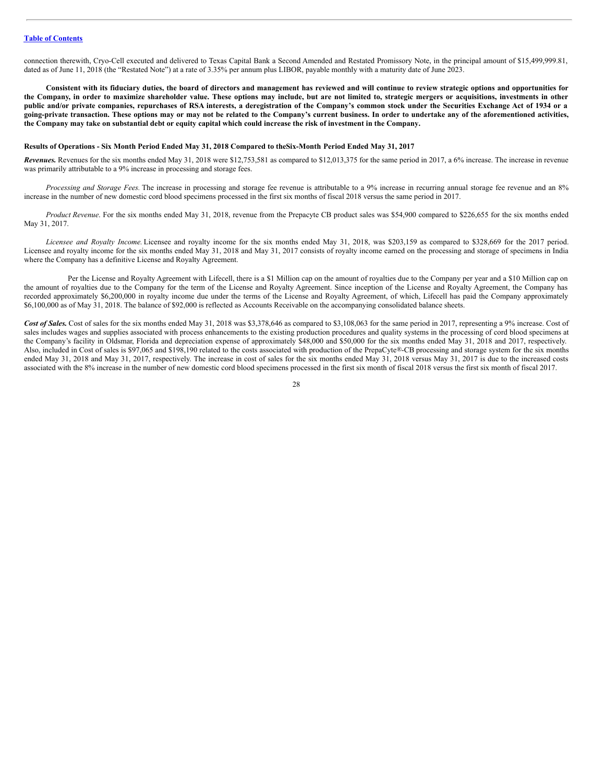connection therewith, Cryo-Cell executed and delivered to Texas Capital Bank a Second Amended and Restated Promissory Note, in the principal amount of \$15,499,999.81, dated as of June 11, 2018 (the "Restated Note") at a rate of 3.35% per annum plus LIBOR, payable monthly with a maturity date of June 2023.

Consistent with its fiduciary duties, the board of directors and management has reviewed and will continue to review strategic options and opportunities for the Company, in order to maximize shareholder value. These options may include, but are not limited to, strategic mergers or acquisitions, investments in other public and/or private companies, repurchases of RSA interests, a deregistration of the Company's common stock under the Securities Exchange Act of 1934 or a going-private transaction. These options may or may not be related to the Company's current business. In order to undertake any of the aforementioned activities, the Company may take on substantial debt or equity capital which could increase the risk of investment in the Company.

#### Results of Operations - Six Month Period Ended May 31, 2018 Compared to the Six-Month Period Ended May 31, 2017

*Revenues.* Revenues for the six months ended May 31, 2018 were \$12,753,581 as compared to \$12,013,375 for the same period in 2017, a 6% increase. The increase in revenue was primarily attributable to a 9% increase in processing and storage fees.

*Processing and Storage Fees.* The increase in processing and storage fee revenue is attributable to a 9% increase in recurring annual storage fee revenue and an 8% increase in the number of new domestic cord blood specimens processed in the first six months of fiscal 2018 versus the same period in 2017.

*Product Revenue*. For the six months ended May 31, 2018, revenue from the Prepacyte CB product sales was \$54,900 compared to \$226,655 for the six months ended May 31, 2017.

*Licensee and Royalty Income.* Licensee and royalty income for the six months ended May 31, 2018, was \$203,159 as compared to \$328,669 for the 2017 period. Licensee and royalty income for the six months ended May 31, 2018 and May 31, 2017 consists of royalty income earned on the processing and storage of specimens in India where the Company has a definitive License and Royalty Agreement.

Per the License and Royalty Agreement with Lifecell, there is a \$1 Million cap on the amount of royalties due to the Company per year and a \$10 Million cap on the amount of royalties due to the Company for the term of the License and Royalty Agreement. Since inception of the License and Royalty Agreement, the Company has recorded approximately \$6,200,000 in royalty income due under the terms of the License and Royalty Agreement, of which, Lifecell has paid the Company approximately \$6,100,000 as of May 31, 2018. The balance of \$92,000 is reflected as Accounts Receivable on the accompanying consolidated balance sheets.

Cost of Sales. Cost of sales for the six months ended May 31, 2018 was \$3,378,646 as compared to \$3,108,063 for the same period in 2017, representing a 9% increase. Cost of sales includes wages and supplies associated with process enhancements to the existing production procedures and quality systems in the processing of cord blood specimens at the Company's facility in Oldsmar, Florida and depreciation expense of approximately \$48,000 and \$50,000 for the six months ended May 31, 2018 and 2017, respectively. Also, included in Cost of sales is \$97,065 and \$198,190 related to the costs associated with production of the PrepaCyte®-CB processing and storage system for the six months ended May 31, 2018 and May 31, 2017, respectively. The increase in cost of sales for the six months ended May 31, 2018 versus May 31, 2017 is due to the increased costs associated with the 8% increase in the number of new domestic cord blood specimens processed in the first six month of fiscal 2018 versus the first six month of fiscal 2017.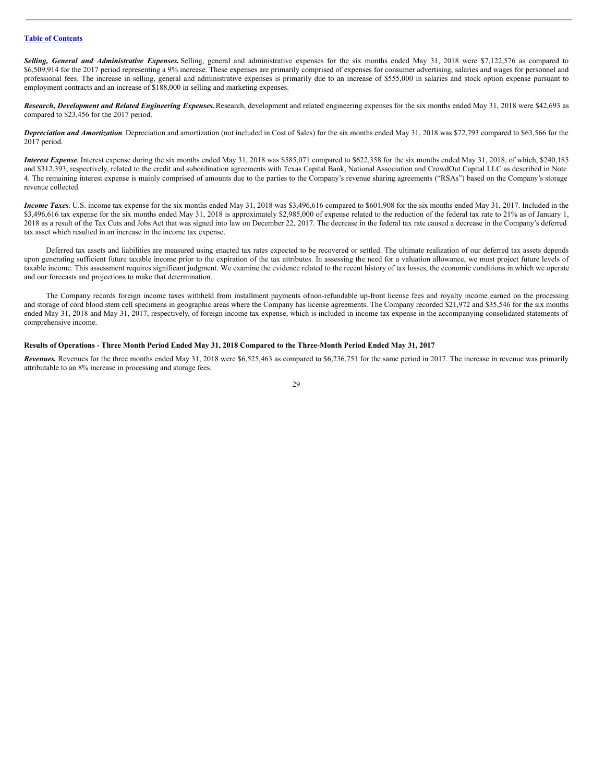*Selling, General and Administrative Expenses.* Selling, general and administrative expenses for the six months ended May 31, 2018 were \$7,122,576 as compared to \$6,509,914 for the 2017 period representing a 9% increase. These expenses are primarily comprised of expenses for consumer advertising, salaries and wages for personnel and professional fees. The increase in selling, general and administrative expenses is primarily due to an increase of \$555,000 in salaries and stock option expense pursuant to employment contracts and an increase of \$188,000 in selling and marketing expenses.

*Research, Development and Related Engineering Expenses.*Research, development and related engineering expenses for the six months ended May 31, 2018 were \$42,693 as compared to \$23,456 for the 2017 period.

*Depreciation and Amortization*. Depreciation and amortization (not included in Cost of Sales) for the six months ended May 31, 2018 was \$72,793 compared to \$63,566 for the 2017 period.

*Interest Expense*. Interest expense during the six months ended May 31, 2018 was \$585,071 compared to \$622,358 for the six months ended May 31, 2018, of which, \$240,185 and \$312,393, respectively, related to the credit and subordination agreements with Texas Capital Bank, National Association and CrowdOut Capital LLC as described in Note 4. The remaining interest expense is mainly comprised of amounts due to the parties to the Company's revenue sharing agreements ("RSAs") based on the Company's storage revenue collected.

*Income Taxes*. U.S. income tax expense for the six months ended May 31, 2018 was \$3,496,616 compared to \$601,908 for the six months ended May 31, 2017. Included in the \$3,496,616 tax expense for the six months ended May 31, 2018 is approximately \$2,985,000 of expense related to the reduction of the federal tax rate to 21% as of January 1, 2018 as a result of the Tax Cuts and Jobs Act that was signed into law on December 22, 2017. The decrease in the federal tax rate caused a decrease in the Company's deferred tax asset which resulted in an increase in the income tax expense.

Deferred tax assets and liabilities are measured using enacted tax rates expected to be recovered or settled. The ultimate realization of our deferred tax assets depends upon generating sufficient future taxable income prior to the expiration of the tax attributes. In assessing the need for a valuation allowance, we must project future levels of taxable income. This assessment requires significant judgment. We examine the evidence related to the recent history of tax losses, the economic conditions in which we operate and our forecasts and projections to make that determination.

The Company records foreign income taxes withheld from installment payments ofnon-refundable up-front license fees and royalty income earned on the processing and storage of cord blood stem cell specimens in geographic areas where the Company has license agreements. The Company recorded \$21,972 and \$35,546 for the six months ended May 31, 2018 and May 31, 2017, respectively, of foreign income tax expense, which is included in income tax expense in the accompanying consolidated statements of comprehensive income.

Results of Operations - Three Month Period Ended May 31, 2018 Compared to the Three-Month Period Ended May 31, 2017

*Revenues.* Revenues for the three months ended May 31, 2018 were \$6,525,463 as compared to \$6,236,751 for the same period in 2017. The increase in revenue was primarily attributable to an 8% increase in processing and storage fees.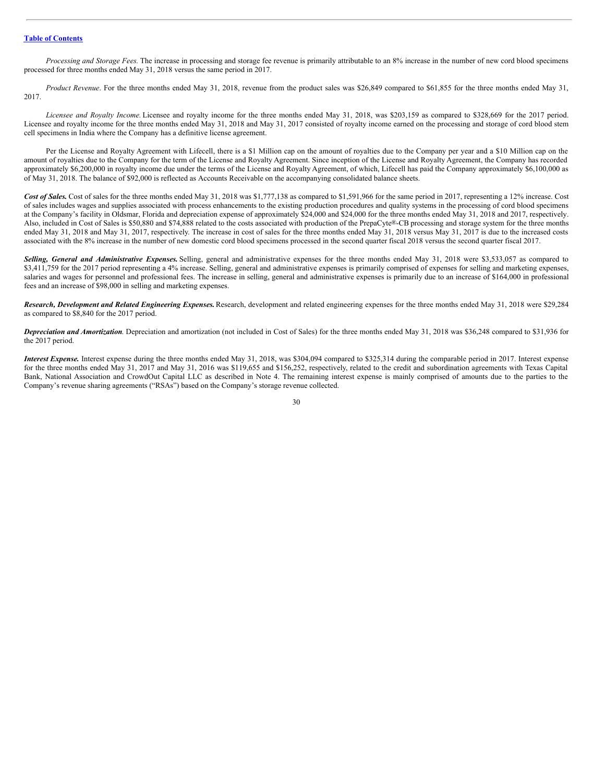*Processing and Storage Fees.* The increase in processing and storage fee revenue is primarily attributable to an 8% increase in the number of new cord blood specimens processed for three months ended May 31, 2018 versus the same period in 2017.

*Product Revenue*. For the three months ended May 31, 2018, revenue from the product sales was \$26,849 compared to \$61,855 for the three months ended May 31, 2017.

*Licensee and Royalty Income.* Licensee and royalty income for the three months ended May 31, 2018, was \$203,159 as compared to \$328,669 for the 2017 period. Licensee and royalty income for the three months ended May 31, 2018 and May 31, 2017 consisted of royalty income earned on the processing and storage of cord blood stem cell specimens in India where the Company has a definitive license agreement.

Per the License and Royalty Agreement with Lifecell, there is a \$1 Million cap on the amount of royalties due to the Company per year and a \$10 Million cap on the amount of royalties due to the Company for the term of the License and Royalty Agreement. Since inception of the License and Royalty Agreement, the Company has recorded approximately \$6,200,000 in royalty income due under the terms of the License and Royalty Agreement, of which, Lifecell has paid the Company approximately \$6,100,000 as of May 31, 2018. The balance of \$92,000 is reflected as Accounts Receivable on the accompanying consolidated balance sheets.

Cost of Sales. Cost of sales for the three months ended May 31, 2018 was \$1,777,138 as compared to \$1,591,966 for the same period in 2017, representing a 12% increase. Cost of sales includes wages and supplies associated with process enhancements to the existing production procedures and quality systems in the processing of cord blood specimens at the Company's facility in Oldsmar, Florida and depreciation expense of approximately \$24,000 and \$24,000 for the three months ended May 31, 2018 and 2017, respectively. Also, included in Cost of Sales is \$50,880 and \$74,888 related to the costs associated with production of the PrepaCyte®-CB processing and storage system for the three months ended May 31, 2018 and May 31, 2017, respectively. The increase in cost of sales for the three months ended May 31, 2018 versus May 31, 2017 is due to the increased costs associated with the 8% increase in the number of new domestic cord blood specimens processed in the second quarter fiscal 2018 versus the second quarter fiscal 2017.

*Selling, General and Administrative Expenses.* Selling, general and administrative expenses for the three months ended May 31, 2018 were \$3,533,057 as compared to \$3,411,759 for the 2017 period representing a 4% increase. Selling, general and administrative expenses is primarily comprised of expenses for selling and marketing expenses, salaries and wages for personnel and professional fees. The increase in selling, general and administrative expenses is primarily due to an increase of \$164,000 in professional fees and an increase of \$98,000 in selling and marketing expenses.

*Research, Development and Related Engineering Expenses.*Research, development and related engineering expenses for the three months ended May 31, 2018 were \$29,284 as compared to \$8,840 for the 2017 period.

*Depreciation and Amortization*. Depreciation and amortization (not included in Cost of Sales) for the three months ended May 31, 2018 was \$36,248 compared to \$31,936 for the 2017 period.

*Interest Expense.* Interest expense during the three months ended May 31, 2018, was \$304,094 compared to \$325,314 during the comparable period in 2017. Interest expense for the three months ended May 31, 2017 and May 31, 2016 was \$119,655 and \$156,252, respectively, related to the credit and subordination agreements with Texas Capital Bank, National Association and CrowdOut Capital LLC as described in Note 4. The remaining interest expense is mainly comprised of amounts due to the parties to the Company's revenue sharing agreements ("RSAs") based on the Company's storage revenue collected.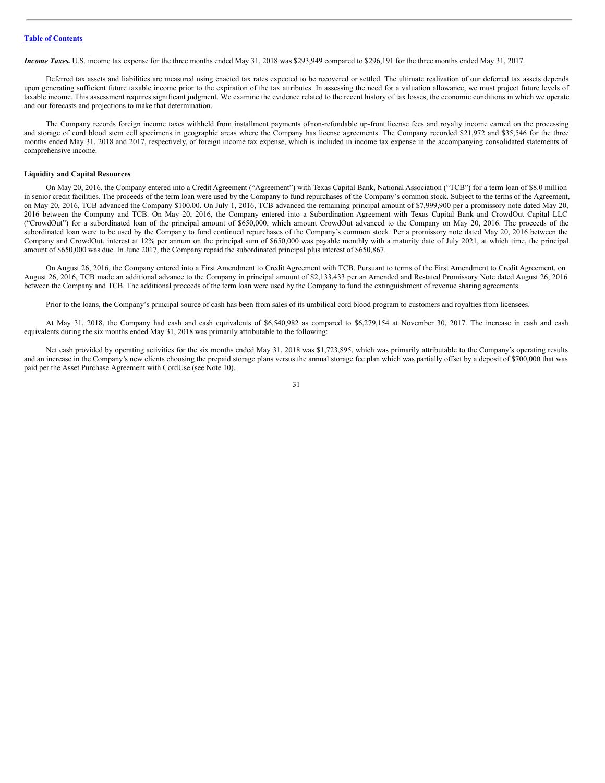*Income Taxes.* U.S. income tax expense for the three months ended May 31, 2018 was \$293,949 compared to \$296,191 for the three months ended May 31, 2017.

Deferred tax assets and liabilities are measured using enacted tax rates expected to be recovered or settled. The ultimate realization of our deferred tax assets depends upon generating sufficient future taxable income prior to the expiration of the tax attributes. In assessing the need for a valuation allowance, we must project future levels of taxable income. This assessment requires significant judgment. We examine the evidence related to the recent history of tax losses, the economic conditions in which we operate and our forecasts and projections to make that determination.

The Company records foreign income taxes withheld from installment payments ofnon-refundable up-front license fees and royalty income earned on the processing and storage of cord blood stem cell specimens in geographic areas where the Company has license agreements. The Company recorded \$21,972 and \$35,546 for the three months ended May 31, 2018 and 2017, respectively, of foreign income tax expense, which is included in income tax expense in the accompanying consolidated statements of comprehensive income.

#### **Liquidity and Capital Resources**

On May 20, 2016, the Company entered into a Credit Agreement ("Agreement") with Texas Capital Bank, National Association ("TCB") for a term loan of \$8.0 million in senior credit facilities. The proceeds of the term loan were used by the Company to fund repurchases of the Company's common stock. Subject to the terms of the Agreement, on May 20, 2016, TCB advanced the Company \$100.00. On July 1, 2016, TCB advanced the remaining principal amount of \$7,999,900 per a promissory note dated May 20, 2016 between the Company and TCB. On May 20, 2016, the Company entered into a Subordination Agreement with Texas Capital Bank and CrowdOut Capital LLC ("CrowdOut") for a subordinated loan of the principal amount of \$650,000, which amount CrowdOut advanced to the Company on May 20, 2016. The proceeds of the subordinated loan were to be used by the Company to fund continued repurchases of the Company's common stock. Per a promissory note dated May 20, 2016 between the Company and CrowdOut, interest at 12% per annum on the principal sum of \$650,000 was payable monthly with a maturity date of July 2021, at which time, the principal amount of \$650,000 was due. In June 2017, the Company repaid the subordinated principal plus interest of \$650,867.

On August 26, 2016, the Company entered into a First Amendment to Credit Agreement with TCB. Pursuant to terms of the First Amendment to Credit Agreement, on August 26, 2016, TCB made an additional advance to the Company in principal amount of \$2,133,433 per an Amended and Restated Promissory Note dated August 26, 2016 between the Company and TCB. The additional proceeds of the term loan were used by the Company to fund the extinguishment of revenue sharing agreements.

Prior to the loans, the Company's principal source of cash has been from sales of its umbilical cord blood program to customers and royalties from licensees.

At May 31, 2018, the Company had cash and cash equivalents of \$6,540,982 as compared to \$6,279,154 at November 30, 2017. The increase in cash and cash equivalents during the six months ended May 31, 2018 was primarily attributable to the following:

Net cash provided by operating activities for the six months ended May 31, 2018 was \$1,723,895, which was primarily attributable to the Company's operating results and an increase in the Company's new clients choosing the prepaid storage plans versus the annual storage fee plan which was partially offset by a deposit of \$700,000 that was paid per the Asset Purchase Agreement with CordUse (see Note 10).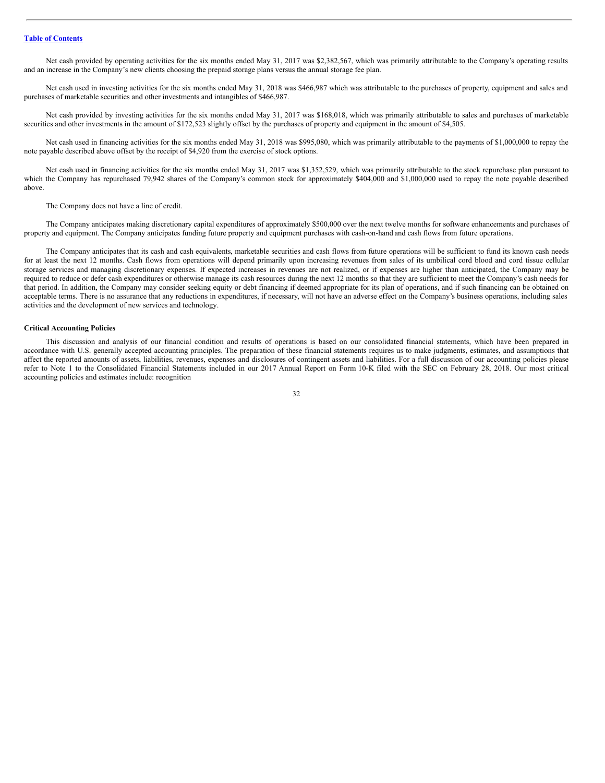Net cash provided by operating activities for the six months ended May 31, 2017 was \$2,382,567, which was primarily attributable to the Company's operating results and an increase in the Company's new clients choosing the prepaid storage plans versus the annual storage fee plan.

Net cash used in investing activities for the six months ended May 31, 2018 was \$466,987 which was attributable to the purchases of property, equipment and sales and purchases of marketable securities and other investments and intangibles of \$466,987.

Net cash provided by investing activities for the six months ended May 31, 2017 was \$168,018, which was primarily attributable to sales and purchases of marketable securities and other investments in the amount of \$172,523 slightly offset by the purchases of property and equipment in the amount of \$4,505.

Net cash used in financing activities for the six months ended May 31, 2018 was \$995,080, which was primarily attributable to the payments of \$1,000,000 to repay the note payable described above offset by the receipt of \$4,920 from the exercise of stock options.

Net cash used in financing activities for the six months ended May 31, 2017 was \$1,352,529, which was primarily attributable to the stock repurchase plan pursuant to which the Company has repurchased 79,942 shares of the Company's common stock for approximately \$404,000 and \$1,000,000 used to repay the note payable described above.

The Company does not have a line of credit.

The Company anticipates making discretionary capital expenditures of approximately \$500,000 over the next twelve months for software enhancements and purchases of property and equipment. The Company anticipates funding future property and equipment purchases with cash-on-hand and cash flows from future operations.

The Company anticipates that its cash and cash equivalents, marketable securities and cash flows from future operations will be sufficient to fund its known cash needs for at least the next 12 months. Cash flows from operations will depend primarily upon increasing revenues from sales of its umbilical cord blood and cord tissue cellular storage services and managing discretionary expenses. If expected increases in revenues are not realized, or if expenses are higher than anticipated, the Company may be required to reduce or defer cash expenditures or otherwise manage its cash resources during the next 12 months so that they are sufficient to meet the Company's cash needs for that period. In addition, the Company may consider seeking equity or debt financing if deemed appropriate for its plan of operations, and if such financing can be obtained on acceptable terms. There is no assurance that any reductions in expenditures, if necessary, will not have an adverse effect on the Company's business operations, including sales activities and the development of new services and technology.

#### **Critical Accounting Policies**

This discussion and analysis of our financial condition and results of operations is based on our consolidated financial statements, which have been prepared in accordance with U.S. generally accepted accounting principles. The preparation of these financial statements requires us to make judgments, estimates, and assumptions that affect the reported amounts of assets, liabilities, revenues, expenses and disclosures of contingent assets and liabilities. For a full discussion of our accounting policies please refer to Note 1 to the Consolidated Financial Statements included in our 2017 Annual Report on Form 10-K filed with the SEC on February 28, 2018. Our most critical accounting policies and estimates include: recognition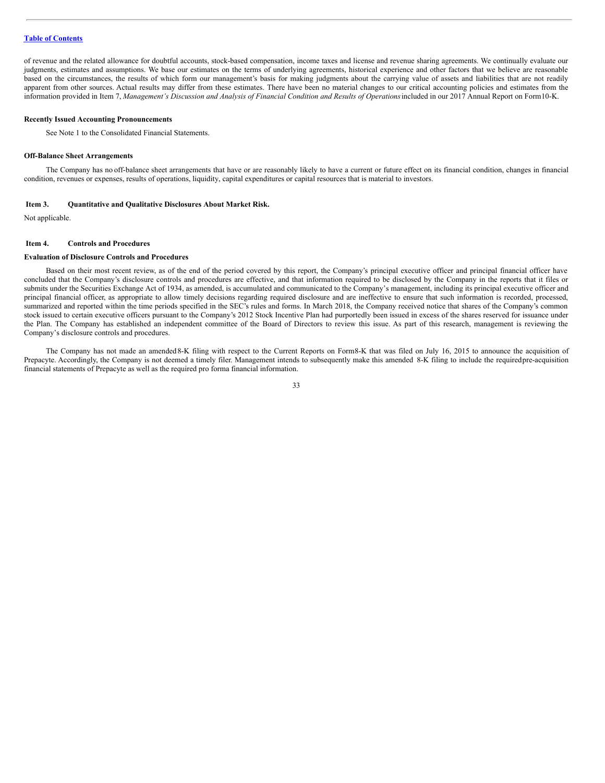of revenue and the related allowance for doubtful accounts, stock-based compensation, income taxes and license and revenue sharing agreements. We continually evaluate our judgments, estimates and assumptions. We base our estimates on the terms of underlying agreements, historical experience and other factors that we believe are reasonable based on the circumstances, the results of which form our management's basis for making judgments about the carrying value of assets and liabilities that are not readily apparent from other sources. Actual results may differ from these estimates. There have been no material changes to our critical accounting policies and estimates from the information provided in Item 7, Management's Discussion and Analysis of Financial Condition and Results of Operations included in our 2017 Annual Report on Form10-K.

#### **Recently Issued Accounting Pronouncements**

See Note 1 to the Consolidated Financial Statements.

#### **Off-Balance Sheet Arrangements**

The Company has no off-balance sheet arrangements that have or are reasonably likely to have a current or future effect on its financial condition, changes in financial condition, revenues or expenses, results of operations, liquidity, capital expenditures or capital resources that is material to investors.

# <span id="page-32-0"></span>**Item 3. Quantitative and Qualitative Disclosures About Market Risk.**

Not applicable.

#### <span id="page-32-1"></span>**Item 4. Controls and Procedures**

#### **Evaluation of Disclosure Controls and Procedures**

Based on their most recent review, as of the end of the period covered by this report, the Company's principal executive officer and principal financial officer have concluded that the Company's disclosure controls and procedures are effective, and that information required to be disclosed by the Company in the reports that it files or submits under the Securities Exchange Act of 1934, as amended, is accumulated and communicated to the Company's management, including its principal executive officer and principal financial officer, as appropriate to allow timely decisions regarding required disclosure and are ineffective to ensure that such information is recorded, processed, summarized and reported within the time periods specified in the SEC's rules and forms. In March 2018, the Company received notice that shares of the Company's common stock issued to certain executive officers pursuant to the Company's 2012 Stock Incentive Plan had purportedly been issued in excess of the shares reserved for issuance under the Plan. The Company has established an independent committee of the Board of Directors to review this issue. As part of this research, management is reviewing the Company's disclosure controls and procedures.

The Company has not made an amended8-K filing with respect to the Current Reports on Form8-K that was filed on July 16, 2015 to announce the acquisition of Prepacyte. Accordingly, the Company is not deemed a timely filer. Management intends to subsequently make this amended 8-K filing to include the requiredpre-acquisition financial statements of Prepacyte as well as the required pro forma financial information.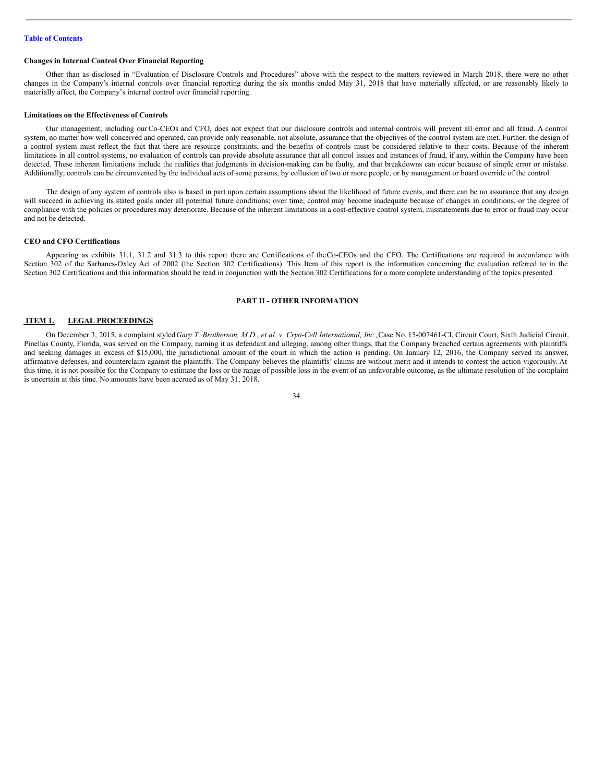# **Changes in Internal Control Over Financial Reporting**

Other than as disclosed in "Evaluation of Disclosure Controls and Procedures" above with the respect to the matters reviewed in March 2018, there were no other changes in the Company's internal controls over financial reporting during the six months ended May 31, 2018 that have materially affected, or are reasonably likely to materially affect, the Company's internal control over financial reporting.

#### **Limitations on the Effectiveness of Controls**

Our management, including ourCo-CEOs and CFO, does not expect that our disclosure controls and internal controls will prevent all error and all fraud. A control system, no matter how well conceived and operated, can provide only reasonable, not absolute, assurance that the objectives of the control system are met. Further, the design of a control system must reflect the fact that there are resource constraints, and the benefits of controls must be considered relative to their costs. Because of the inherent limitations in all control systems, no evaluation of controls can provide absolute assurance that all control issues and instances of fraud, if any, within the Company have been detected. These inherent limitations include the realities that judgments in decision-making can be faulty, and that breakdowns can occur because of simple error or mistake. Additionally, controls can be circumvented by the individual acts of some persons, by collusion of two or more people, or by management or board override of the control.

The design of any system of controls also is based in part upon certain assumptions about the likelihood of future events, and there can be no assurance that any design will succeed in achieving its stated goals under all potential future conditions; over time, control may become inadequate because of changes in conditions, or the degree of compliance with the policies or procedures may deteriorate. Because of the inherent limitations in a cost-effective control system, misstatements due to error or fraud may occur and not be detected.

# **CEO and CFO Certifications**

Appearing as exhibits 31.1, 31.2 and 31.3 to this report there are Certifications of theCo-CEOs and the CFO. The Certifications are required in accordance with Section 302 of the Sarbanes-Oxley Act of 2002 (the Section 302 Certifications). This Item of this report is the information concerning the evaluation referred to in the Section 302 Certifications and this information should be read in conjunction with the Section 302 Certifications for a more complete understanding of the topics presented.

#### <span id="page-33-0"></span>**PART II - OTHER INFORMATION**

# <span id="page-33-1"></span>**ITEM 1. LEGAL PROCEEDINGS**

On December 3, 2015, a complaint styled Gary T. Brotherson, M.D., et al. v. Cryo-Cell International, Inc., Case No. 15-007461-CI, Circuit Court, Sixth Judicial Circuit, Pinellas County, Florida, was served on the Company, naming it as defendant and alleging, among other things, that the Company breached certain agreements with plaintiffs and seeking damages in excess of \$15,000, the jurisdictional amount of the court in which the action is pending. On January 12, 2016, the Company served its answer, affirmative defenses, and counterclaim against the plaintiffs. The Company believes the plaintiffs' claims are without merit and it intends to contest the action vigorously. At this time, it is not possible for the Company to estimate the loss or the range of possible loss in the event of an unfavorable outcome, as the ultimate resolution of the complaint is uncertain at this time. No amounts have been accrued as of May 31, 2018.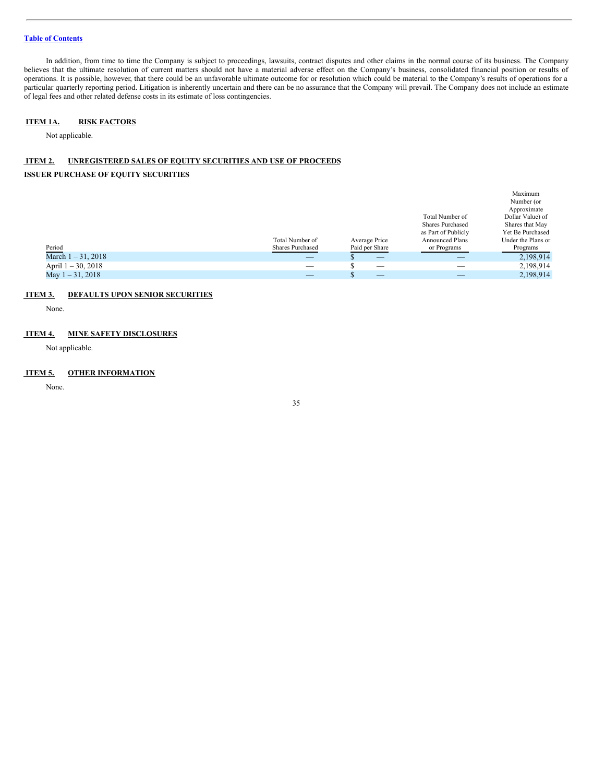In addition, from time to time the Company is subject to proceedings, lawsuits, contract disputes and other claims in the normal course of its business. The Company believes that the ultimate resolution of current matters should not have a material adverse effect on the Company's business, consolidated financial position or results of operations. It is possible, however, that there could be an unfavorable ultimate outcome for or resolution which could be material to the Company's results of operations for a particular quarterly reporting period. Litigation is inherently uncertain and there can be no assurance that the Company will prevail. The Company does not include an estimate of legal fees and other related defense costs in its estimate of loss contingencies.

# <span id="page-34-0"></span>**ITEM 1A. RISK FACTORS**

Not applicable.

# <span id="page-34-1"></span>**ITEM 2. UNREGISTERED SALES OF EQUITY SECURITIES AND USE OF PROCEEDS**

# **ISSUER PURCHASE OF EQUITY SECURITIES**

|                       |                         |                               |                        | Maximum            |
|-----------------------|-------------------------|-------------------------------|------------------------|--------------------|
|                       |                         |                               |                        | Number (or         |
|                       |                         |                               |                        | Approximate        |
|                       |                         |                               | Total Number of        | Dollar Value) of   |
|                       |                         |                               | Shares Purchased       | Shares that May    |
|                       |                         |                               | as Part of Publicly    | Yet Be Purchased   |
|                       | Total Number of         | Average Price                 | <b>Announced Plans</b> | Under the Plans or |
| Period                | <b>Shares Purchased</b> | Paid per Share                | or Programs            | Programs           |
| March $1 - 31, 2018$  | _                       | $-$                           | _                      | 2,198,914          |
| April $1 - 30$ , 2018 |                         | $-$                           |                        | 2,198,914          |
| May $1 - 31$ , 2018   | _                       | $\overline{\phantom{a}}$<br>D | _                      | 2,198,914          |
|                       |                         |                               |                        |                    |

# <span id="page-34-2"></span>**ITEM 3. DEFAULTS UPON SENIOR SECURITIES**

None.

# <span id="page-34-3"></span>**ITEM 4. MINE SAFETY DISCLOSURES**

Not applicable.

# <span id="page-34-4"></span>**ITEM 5. OTHER INFORMATION**

None.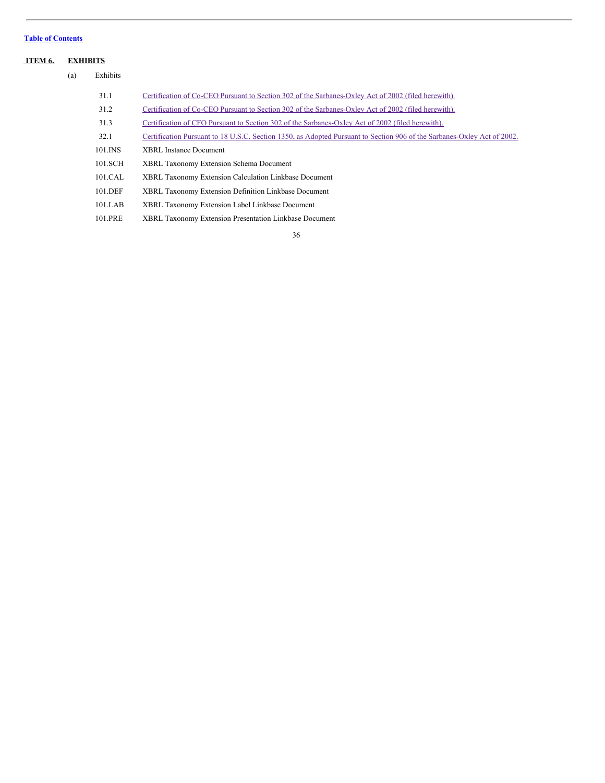# <span id="page-35-0"></span>**ITEM 6. EXHIBITS**

 $(a)$ 

| Exhibits |                                                                                                                         |
|----------|-------------------------------------------------------------------------------------------------------------------------|
| 31.1     | Certification of Co-CEO Pursuant to Section 302 of the Sarbanes-Oxley Act of 2002 (filed herewith).                     |
| 31.2     | Certification of Co-CEO Pursuant to Section 302 of the Sarbanes-Oxley Act of 2002 (filed herewith).                     |
| 31.3     | Certification of CFO Pursuant to Section 302 of the Sarbanes-Oxley Act of 2002 (filed herewith).                        |
| 32.1     | Certification Pursuant to 18 U.S.C. Section 1350, as Adopted Pursuant to Section 906 of the Sarbanes-Oxley Act of 2002. |
| 101.INS  | XBRL Instance Document                                                                                                  |
| 101.SCH  | <b>XBRL Taxonomy Extension Schema Document</b>                                                                          |
| 101.CAL  | XBRL Taxonomy Extension Calculation Linkbase Document                                                                   |
| 101.DEF  | XBRL Taxonomy Extension Definition Linkbase Document                                                                    |
| 101.LAB  | XBRL Taxonomy Extension Label Linkbase Document                                                                         |
| 101.PRE  | XBRL Taxonomy Extension Presentation Linkbase Document                                                                  |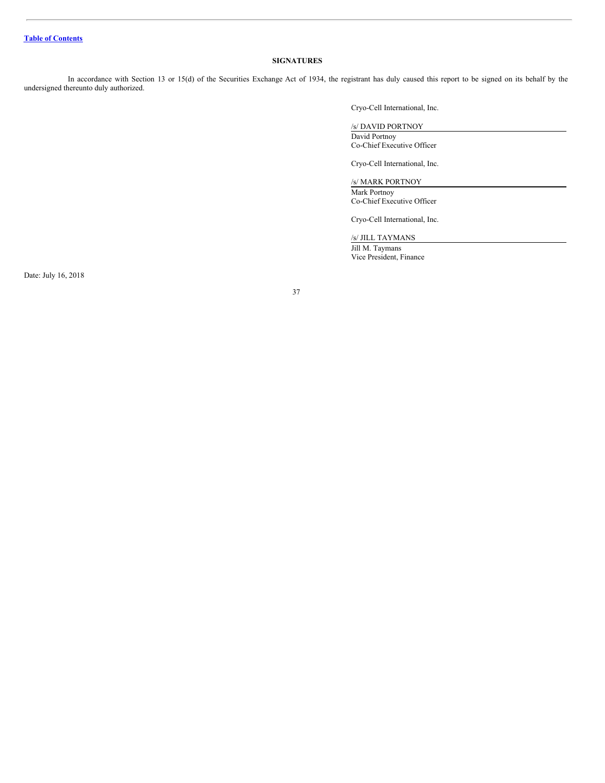# <span id="page-36-0"></span>**SIGNATURES**

In accordance with Section 13 or 15(d) of the Securities Exchange Act of 1934, the registrant has duly caused this report to be signed on its behalf by the undersigned thereunto duly authorized.

Cryo-Cell International, Inc.

# /s/ DAVID PORTNOY

David Portnoy Co-Chief Executive Officer

Cryo-Cell International, Inc.

/s/ MARK PORTNOY

Mark Portnoy Co-Chief Executive Officer

Cryo-Cell International, Inc.

/s/ JILL TAYMANS

Jill M. Taymans Vice President, Finance

Date: July 16, 2018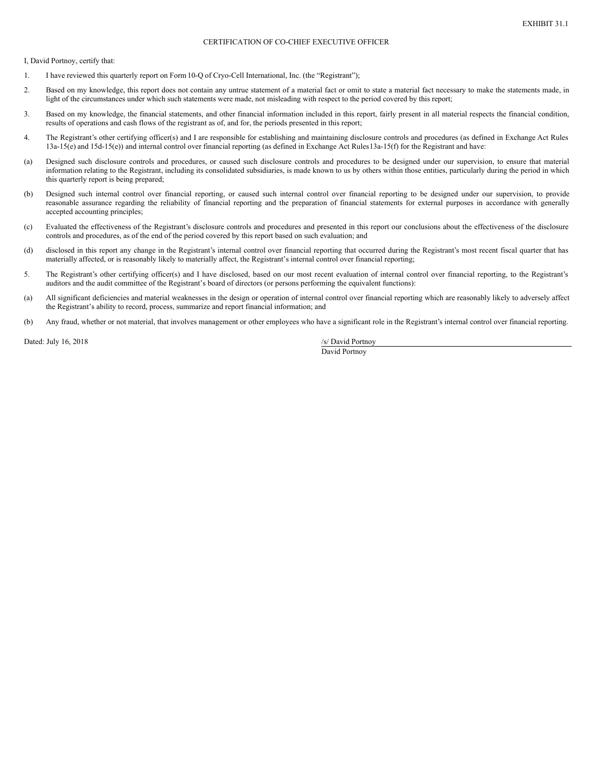# CERTIFICATION OF CO-CHIEF EXECUTIVE OFFICER

<span id="page-37-0"></span>I, David Portnoy, certify that:

- 1. I have reviewed this quarterly report on Form10-Q of Cryo-Cell International, Inc. (the "Registrant");
- 2. Based on my knowledge, this report does not contain any untrue statement of a material fact or omit to state a material fact necessary to make the statements made, in light of the circumstances under which such statements were made, not misleading with respect to the period covered by this report;
- 3. Based on my knowledge, the financial statements, and other financial information included in this report, fairly present in all material respects the financial condition, results of operations and cash flows of the registrant as of, and for, the periods presented in this report;
- 4. The Registrant's other certifying officer(s) and I are responsible for establishing and maintaining disclosure controls and procedures (as defined in Exchange Act Rules 13a-15(e) and 15d-15(e)) and internal control over financial reporting (as defined in Exchange Act Rules13a-15(f) for the Registrant and have:
- (a) Designed such disclosure controls and procedures, or caused such disclosure controls and procedures to be designed under our supervision, to ensure that material information relating to the Registrant, including its consolidated subsidiaries, is made known to us by others within those entities, particularly during the period in which this quarterly report is being prepared;
- (b) Designed such internal control over financial reporting, or caused such internal control over financial reporting to be designed under our supervision, to provide reasonable assurance regarding the reliability of financial reporting and the preparation of financial statements for external purposes in accordance with generally accepted accounting principles;
- (c) Evaluated the effectiveness of the Registrant's disclosure controls and procedures and presented in this report our conclusions about the effectiveness of the disclosure controls and procedures, as of the end of the period covered by this report based on such evaluation; and
- (d) disclosed in this report any change in the Registrant's internal control over financial reporting that occurred during the Registrant's most recent fiscal quarter that has materially affected, or is reasonably likely to materially affect, the Registrant's internal control over financial reporting;
- 5. The Registrant's other certifying officer(s) and I have disclosed, based on our most recent evaluation of internal control over financial reporting, to the Registrant's auditors and the audit committee of the Registrant's board of directors (or persons performing the equivalent functions):
- (a) All significant deficiencies and material weaknesses in the design or operation of internal control over financial reporting which are reasonably likely to adversely affect the Registrant's ability to record, process, summarize and report financial information; and
- (b) Any fraud, whether or not material, that involves management or other employees who have a significant role in the Registrant's internal control over financial reporting.

Dated: July 16, 2018 /s/ David Portnoy

David Portnoy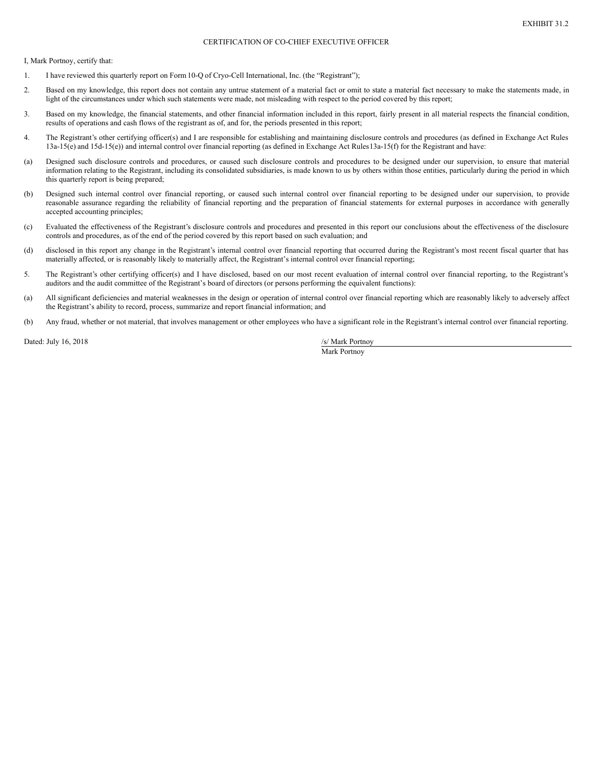# CERTIFICATION OF CO-CHIEF EXECUTIVE OFFICER

<span id="page-38-0"></span>I, Mark Portnoy, certify that:

- 1. I have reviewed this quarterly report on Form10-Q of Cryo-Cell International, Inc. (the "Registrant");
- 2. Based on my knowledge, this report does not contain any untrue statement of a material fact or omit to state a material fact necessary to make the statements made, in light of the circumstances under which such statements were made, not misleading with respect to the period covered by this report;
- 3. Based on my knowledge, the financial statements, and other financial information included in this report, fairly present in all material respects the financial condition, results of operations and cash flows of the registrant as of, and for, the periods presented in this report;
- 4. The Registrant's other certifying officer(s) and I are responsible for establishing and maintaining disclosure controls and procedures (as defined in Exchange Act Rules 13a-15(e) and 15d-15(e)) and internal control over financial reporting (as defined in Exchange Act Rules13a-15(f) for the Registrant and have:
- (a) Designed such disclosure controls and procedures, or caused such disclosure controls and procedures to be designed under our supervision, to ensure that material information relating to the Registrant, including its consolidated subsidiaries, is made known to us by others within those entities, particularly during the period in which this quarterly report is being prepared;
- (b) Designed such internal control over financial reporting, or caused such internal control over financial reporting to be designed under our supervision, to provide reasonable assurance regarding the reliability of financial reporting and the preparation of financial statements for external purposes in accordance with generally accepted accounting principles;
- (c) Evaluated the effectiveness of the Registrant's disclosure controls and procedures and presented in this report our conclusions about the effectiveness of the disclosure controls and procedures, as of the end of the period covered by this report based on such evaluation; and
- (d) disclosed in this report any change in the Registrant's internal control over financial reporting that occurred during the Registrant's most recent fiscal quarter that has materially affected, or is reasonably likely to materially affect, the Registrant's internal control over financial reporting;
- 5. The Registrant's other certifying officer(s) and I have disclosed, based on our most recent evaluation of internal control over financial reporting, to the Registrant's auditors and the audit committee of the Registrant's board of directors (or persons performing the equivalent functions):
- (a) All significant deficiencies and material weaknesses in the design or operation of internal control over financial reporting which are reasonably likely to adversely affect the Registrant's ability to record, process, summarize and report financial information; and
- (b) Any fraud, whether or not material, that involves management or other employees who have a significant role in the Registrant's internal control over financial reporting.

Dated: July 16, 2018 /s/ Mark Portnoy

Mark Portnoy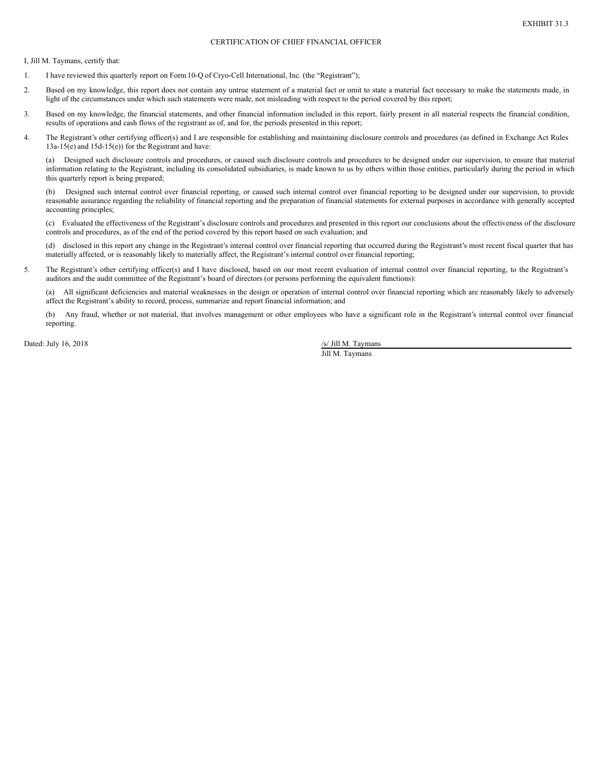# CERTIFICATION OF CHIEF FINANCIAL OFFICER

<span id="page-39-0"></span>I, Jill M. Taymans, certify that:

- 1. I have reviewed this quarterly report on Form10-Q of Cryo-Cell International, Inc. (the "Registrant");
- 2. Based on my knowledge, this report does not contain any untrue statement of a material fact or omit to state a material fact necessary to make the statements made, in light of the circumstances under which such statements were made, not misleading with respect to the period covered by this report;
- 3. Based on my knowledge, the financial statements, and other financial information included in this report, fairly present in all material respects the financial condition, results of operations and cash flows of the registrant as of, and for, the periods presented in this report;
- 4. The Registrant's other certifying officer(s) and I are responsible for establishing and maintaining disclosure controls and procedures (as defined in Exchange Act Rules 13a-15(e) and 15d-15(e)) for the Registrant and have:

(a) Designed such disclosure controls and procedures, or caused such disclosure controls and procedures to be designed under our supervision, to ensure that material information relating to the Registrant, including its consolidated subsidiaries, is made known to us by others within those entities, particularly during the period in which this quarterly report is being prepared;

(b) Designed such internal control over financial reporting, or caused such internal control over financial reporting to be designed under our supervision, to provide reasonable assurance regarding the reliability of financial reporting and the preparation of financial statements for external purposes in accordance with generally accepted accounting principles;

(c) Evaluated the effectiveness of the Registrant's disclosure controls and procedures and presented in this report our conclusions about the effectiveness of the disclosure controls and procedures, as of the end of the period covered by this report based on such evaluation; and

(d) disclosed in this report any change in the Registrant's internal control over financial reporting that occurred during the Registrant's most recent fiscal quarter that has materially affected, or is reasonably likely to materially affect, the Registrant's internal control over financial reporting;

5. The Registrant's other certifying officer(s) and I have disclosed, based on our most recent evaluation of internal control over financial reporting, to the Registrant's auditors and the audit committee of the Registrant's board of directors (or persons performing the equivalent functions):

(a) All significant deficiencies and material weaknesses in the design or operation of internal control over financial reporting which are reasonably likely to adversely affect the Registrant's ability to record, process, summarize and report financial information; and

(b) Any fraud, whether or not material, that involves management or other employees who have a significant role in the Registrant's internal control over financial reporting.

Dated: July 16, 2018 /s/ Jill M. Taymans

Jill M. Taymans